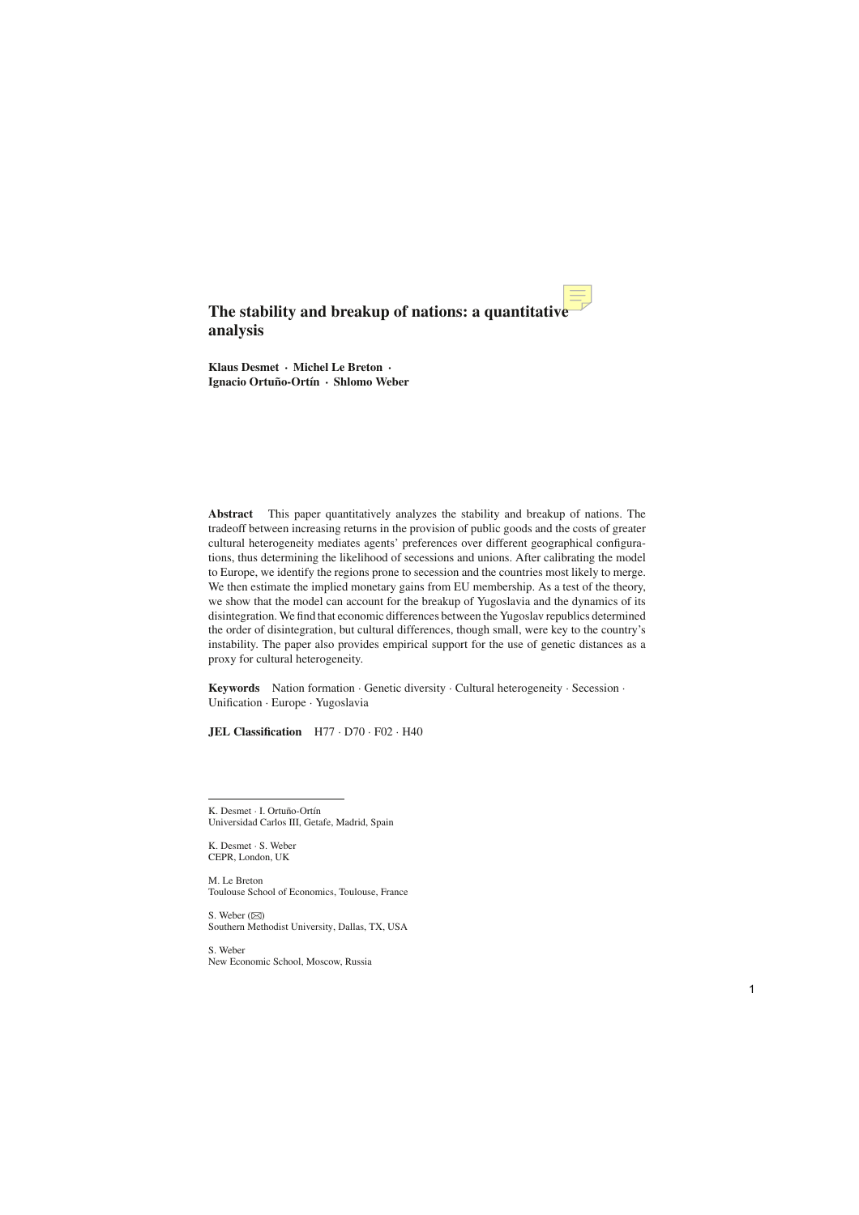# **The stability and breakup of nations: a quantitative analysis**

**Klaus Desmet** · **Michel Le Breton** · **Ignacio Ortuño-Ortín** · **Shlomo Weber**

**Abstract** This paper quantitatively analyzes the stability and breakup of nations. The tradeoff between increasing returns in the provision of public goods and the costs of greater cultural heterogeneity mediates agents' preferences over different geographical configurations, thus determining the likelihood of secessions and unions. After calibrating the model to Europe, we identify the regions prone to secession and the countries most likely to merge. We then estimate the implied monetary gains from EU membership. As a test of the theory, we show that the model can account for the breakup of Yugoslavia and the dynamics of its disintegration. We find that economic differences between the Yugoslav republics determined the order of disintegration, but cultural differences, though small, were key to the country's instability. The paper also provides empirical support for the use of genetic distances as a proxy for cultural heterogeneity.

**Keywords** Nation formation · Genetic diversity · Cultural heterogeneity · Secession · Unification · Europe · Yugoslavia

**JEL Classification** H77 · D70 · F02 · H40

K. Desmet · I. Ortuño-Ortín Universidad Carlos III, Getafe, Madrid, Spain

K. Desmet · S. Weber CEPR, London, UK

M. Le Breton Toulouse School of Economics, Toulouse, France

S. Weber  $(\boxtimes)$ Southern Methodist University, Dallas, TX, USA

S. Weber New Economic School, Moscow, Russia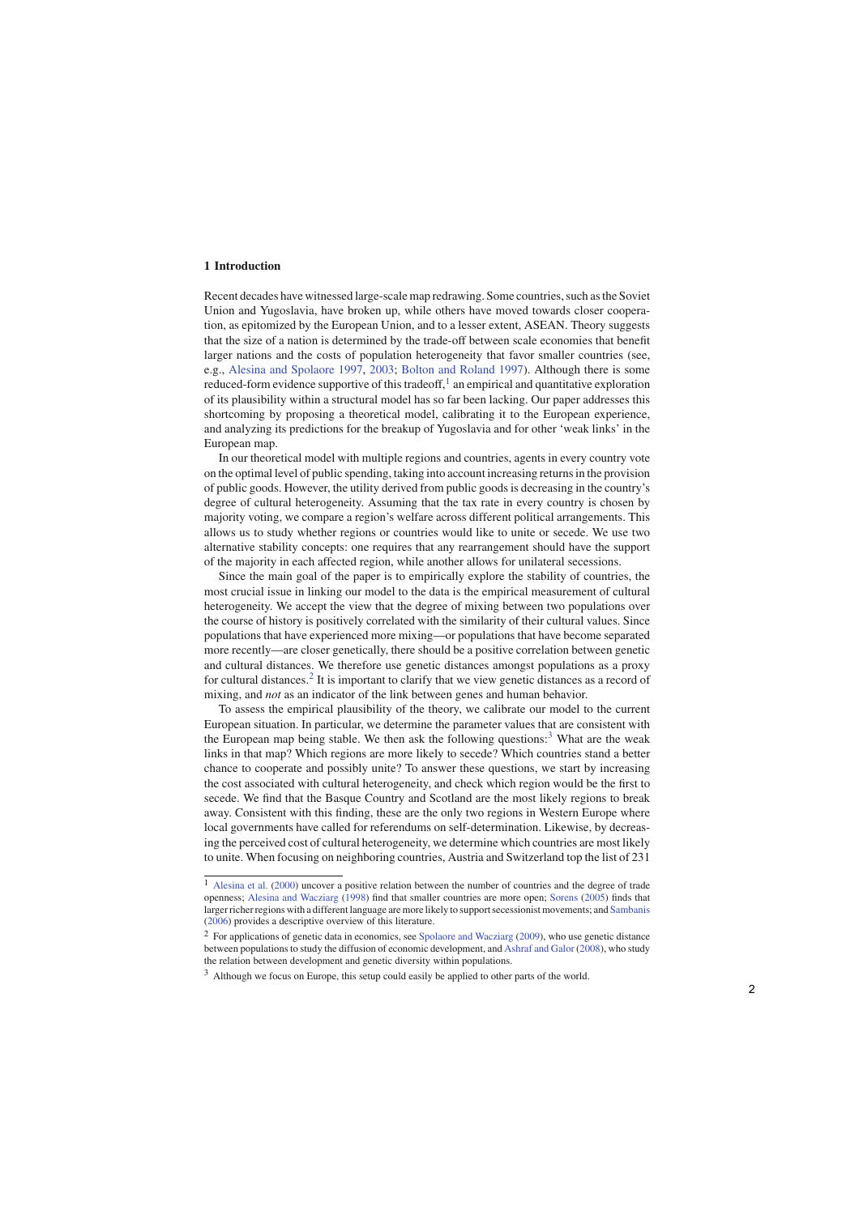### **1 Introduction**

Recent decades have witnessed large-scale map redrawing. Some countries, such as the Soviet Union and Yugoslavia, have broken up, while others have moved towards closer cooperation, as epitomized by the European Union, and to a lesser extent, ASEAN. Theory suggests that the size of a nation is determined by the trade-off between scale economies that benefit larger nations and the costs of population heterogeneity that favor smaller countries (see, e.g., Alesina and Spolaore 1997, 2003; Bolton and Roland 1997). Although there is some reduced-form evidence supportive of this tradeoff, $\frac{1}{2}$  an empirical and quantitative exploration of its plausibility within a structural model has so far been lacking. Our paper addresses this shortcoming by proposing a theoretical model, calibrating it to the European experience, and analyzing its predictions for the breakup of Yugoslavia and for other 'weak links' in the European map.

In our theoretical model with multiple regions and countries, agents in every country vote on the optimal level of public spending, taking into account increasing returns in the provision of public goods. However, the utility derived from public goods is decreasing in the country's degree of cultural heterogeneity. Assuming that the tax rate in every country is chosen by majority voting, we compare a region's welfare across different political arrangements. This allows us to study whether regions or countries would like to unite or secede. We use two alternative stability concepts: one requires that any rearrangement should have the support of the majority in each affected region, while another allows for unilateral secessions.

Since the main goal of the paper is to empirically explore the stability of countries, the most crucial issue in linking our model to the data is the empirical measurement of cultural heterogeneity. We accept the view that the degree of mixing between two populations over the course of history is positively correlated with the similarity of their cultural values. Since populations that have experienced more mixing—or populations that have become separated more recently—are closer genetically, there should be a positive correlation between genetic and cultural distances. We therefore use genetic distances amongst populations as a proxy for cultural distances.<sup>2</sup> It is important to clarify that we view genetic distances as a record of mixing, and *not* as an indicator of the link between genes and human behavior.

To assess the empirical plausibility of the theory, we calibrate our model to the current European situation. In particular, we determine the parameter values that are consistent with the European map being stable. We then ask the following questions:<sup>3</sup> What are the weak links in that map? Which regions are more likely to secede? Which countries stand a better chance to cooperate and possibly unite? To answer these questions, we start by increasing the cost associated with cultural heterogeneity, and check which region would be the first to secede. We find that the Basque Country and Scotland are the most likely regions to break away. Consistent with this finding, these are the only two regions in Western Europe where local governments have called for referendums on self-determination. Likewise, by decreasing the perceived cost of cultural heterogeneity, we determine which countries are most likely to unite. When focusing on neighboring countries, Austria and Switzerland top the list of 231

<sup>&</sup>lt;sup>1</sup> Alesina et al. (2000) uncover a positive relation between the number of countries and the degree of trade openness; Alesina and Wacziarg (1998) find that smaller countries are more open; Sorens (2005) finds that larger richerregions with a different language are more likely to support secessionist movements; and Sambanis (2006) provides a descriptive overview of this literature.

 $2\degree$  For applications of genetic data in economics, see Spolaore and Wacziarg (2009), who use genetic distance between populations to study the diffusion of economic development, and Ashraf and Galor (2008), who study the relation between development and genetic diversity within populations.

<sup>&</sup>lt;sup>3</sup> Although we focus on Europe, this setup could easily be applied to other parts of the world.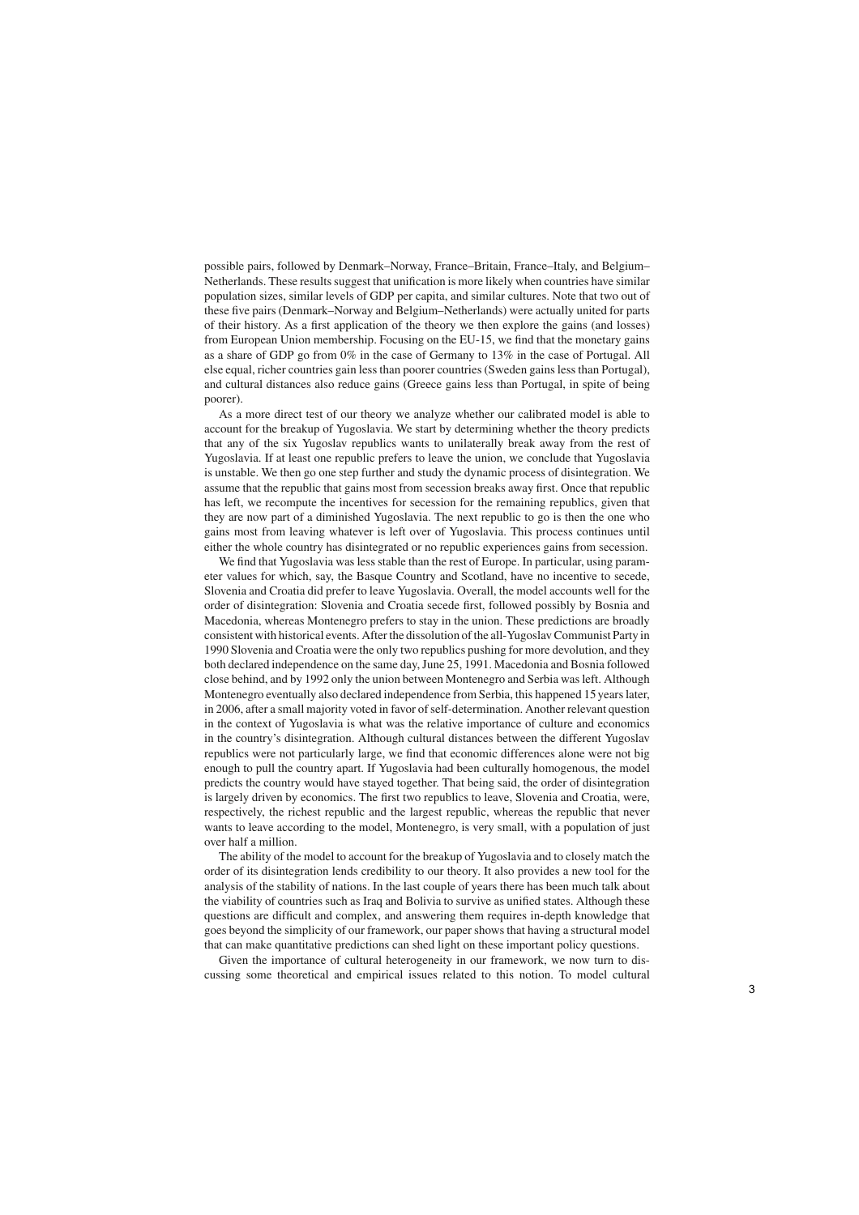possible pairs, followed by Denmark–Norway, France–Britain, France–Italy, and Belgium– Netherlands. These results suggest that unification is more likely when countries have similar population sizes, similar levels of GDP per capita, and similar cultures. Note that two out of these five pairs (Denmark–Norway and Belgium–Netherlands) were actually united for parts of their history. As a first application of the theory we then explore the gains (and losses) from European Union membership. Focusing on the EU-15, we find that the monetary gains as a share of GDP go from 0% in the case of Germany to 13% in the case of Portugal. All else equal, richer countries gain less than poorer countries (Sweden gains less than Portugal), and cultural distances also reduce gains (Greece gains less than Portugal, in spite of being poorer).

As a more direct test of our theory we analyze whether our calibrated model is able to account for the breakup of Yugoslavia. We start by determining whether the theory predicts that any of the six Yugoslav republics wants to unilaterally break away from the rest of Yugoslavia. If at least one republic prefers to leave the union, we conclude that Yugoslavia is unstable. We then go one step further and study the dynamic process of disintegration. We assume that the republic that gains most from secession breaks away first. Once that republic has left, we recompute the incentives for secession for the remaining republics, given that they are now part of a diminished Yugoslavia. The next republic to go is then the one who gains most from leaving whatever is left over of Yugoslavia. This process continues until either the whole country has disintegrated or no republic experiences gains from secession.

We find that Yugoslavia was less stable than the rest of Europe. In particular, using parameter values for which, say, the Basque Country and Scotland, have no incentive to secede, Slovenia and Croatia did prefer to leave Yugoslavia. Overall, the model accounts well for the order of disintegration: Slovenia and Croatia secede first, followed possibly by Bosnia and Macedonia, whereas Montenegro prefers to stay in the union. These predictions are broadly consistent with historical events. After the dissolution of the all-Yugoslav Communist Party in 1990 Slovenia and Croatia were the only two republics pushing for more devolution, and they both declared independence on the same day, June 25, 1991. Macedonia and Bosnia followed close behind, and by 1992 only the union between Montenegro and Serbia was left. Although Montenegro eventually also declared independence from Serbia, this happened 15 years later, in 2006, after a small majority voted in favor of self-determination. Another relevant question in the context of Yugoslavia is what was the relative importance of culture and economics in the country's disintegration. Although cultural distances between the different Yugoslav republics were not particularly large, we find that economic differences alone were not big enough to pull the country apart. If Yugoslavia had been culturally homogenous, the model predicts the country would have stayed together. That being said, the order of disintegration is largely driven by economics. The first two republics to leave, Slovenia and Croatia, were, respectively, the richest republic and the largest republic, whereas the republic that never wants to leave according to the model, Montenegro, is very small, with a population of just over half a million.

The ability of the model to account for the breakup of Yugoslavia and to closely match the order of its disintegration lends credibility to our theory. It also provides a new tool for the analysis of the stability of nations. In the last couple of years there has been much talk about the viability of countries such as Iraq and Bolivia to survive as unified states. Although these questions are difficult and complex, and answering them requires in-depth knowledge that goes beyond the simplicity of our framework, our paper shows that having a structural model that can make quantitative predictions can shed light on these important policy questions.

Given the importance of cultural heterogeneity in our framework, we now turn to discussing some theoretical and empirical issues related to this notion. To model cultural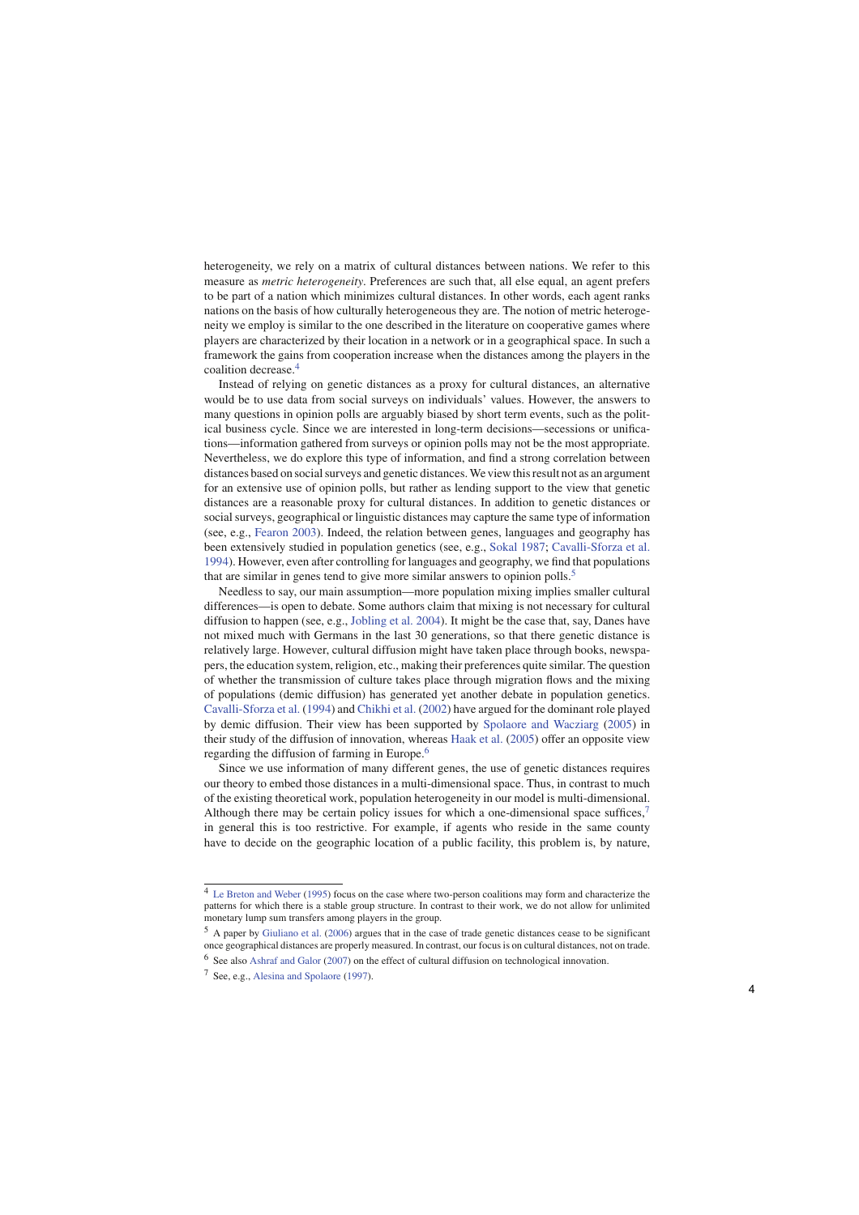heterogeneity, we rely on a matrix of cultural distances between nations. We refer to this measure as *metric heterogeneity*. Preferences are such that, all else equal, an agent prefers to be part of a nation which minimizes cultural distances. In other words, each agent ranks nations on the basis of how culturally heterogeneous they are. The notion of metric heterogeneity we employ is similar to the one described in the literature on cooperative games where players are characterized by their location in a network or in a geographical space. In such a framework the gains from cooperation increase when the distances among the players in the coalition decrease.<sup>4</sup>

Instead of relying on genetic distances as a proxy for cultural distances, an alternative would be to use data from social surveys on individuals' values. However, the answers to many questions in opinion polls are arguably biased by short term events, such as the political business cycle. Since we are interested in long-term decisions—secessions or unifications—information gathered from surveys or opinion polls may not be the most appropriate. Nevertheless, we do explore this type of information, and find a strong correlation between distances based on social surveys and genetic distances. We view this result not as an argument for an extensive use of opinion polls, but rather as lending support to the view that genetic distances are a reasonable proxy for cultural distances. In addition to genetic distances or social surveys, geographical or linguistic distances may capture the same type of information (see, e.g., Fearon 2003). Indeed, the relation between genes, languages and geography has been extensively studied in population genetics (see, e.g., Sokal 1987; Cavalli-Sforza et al. 1994). However, even after controlling for languages and geography, we find that populations that are similar in genes tend to give more similar answers to opinion polls.<sup>5</sup>

Needless to say, our main assumption—more population mixing implies smaller cultural differences—is open to debate. Some authors claim that mixing is not necessary for cultural diffusion to happen (see, e.g., Jobling et al. 2004). It might be the case that, say, Danes have not mixed much with Germans in the last 30 generations, so that there genetic distance is relatively large. However, cultural diffusion might have taken place through books, newspapers, the education system, religion, etc., making their preferences quite similar. The question of whether the transmission of culture takes place through migration flows and the mixing of populations (demic diffusion) has generated yet another debate in population genetics. Cavalli-Sforza et al. (1994) and Chikhi et al. (2002) have argued for the dominant role played by demic diffusion. Their view has been supported by Spolaore and Wacziarg (2005) in their study of the diffusion of innovation, whereas Haak et al. (2005) offer an opposite view regarding the diffusion of farming in Europe.<sup>6</sup>

Since we use information of many different genes, the use of genetic distances requires our theory to embed those distances in a multi-dimensional space. Thus, in contrast to much of the existing theoretical work, population heterogeneity in our model is multi-dimensional. Although there may be certain policy issues for which a one-dimensional space suffices, $\frac{7}{3}$ in general this is too restrictive. For example, if agents who reside in the same county have to decide on the geographic location of a public facility, this problem is, by nature,

<sup>4</sup> Le Breton and Weber (1995) focus on the case where two-person coalitions may form and characterize the patterns for which there is a stable group structure. In contrast to their work, we do not allow for unlimited monetary lump sum transfers among players in the group.

<sup>5</sup> A paper by Giuliano et al. (2006) argues that in the case of trade genetic distances cease to be significant once geographical distances are properly measured. In contrast, our focus is on cultural distances, not on trade.

<sup>6</sup> See also Ashraf and Galor (2007) on the effect of cultural diffusion on technological innovation.

<sup>7</sup> See, e.g., Alesina and Spolaore (1997).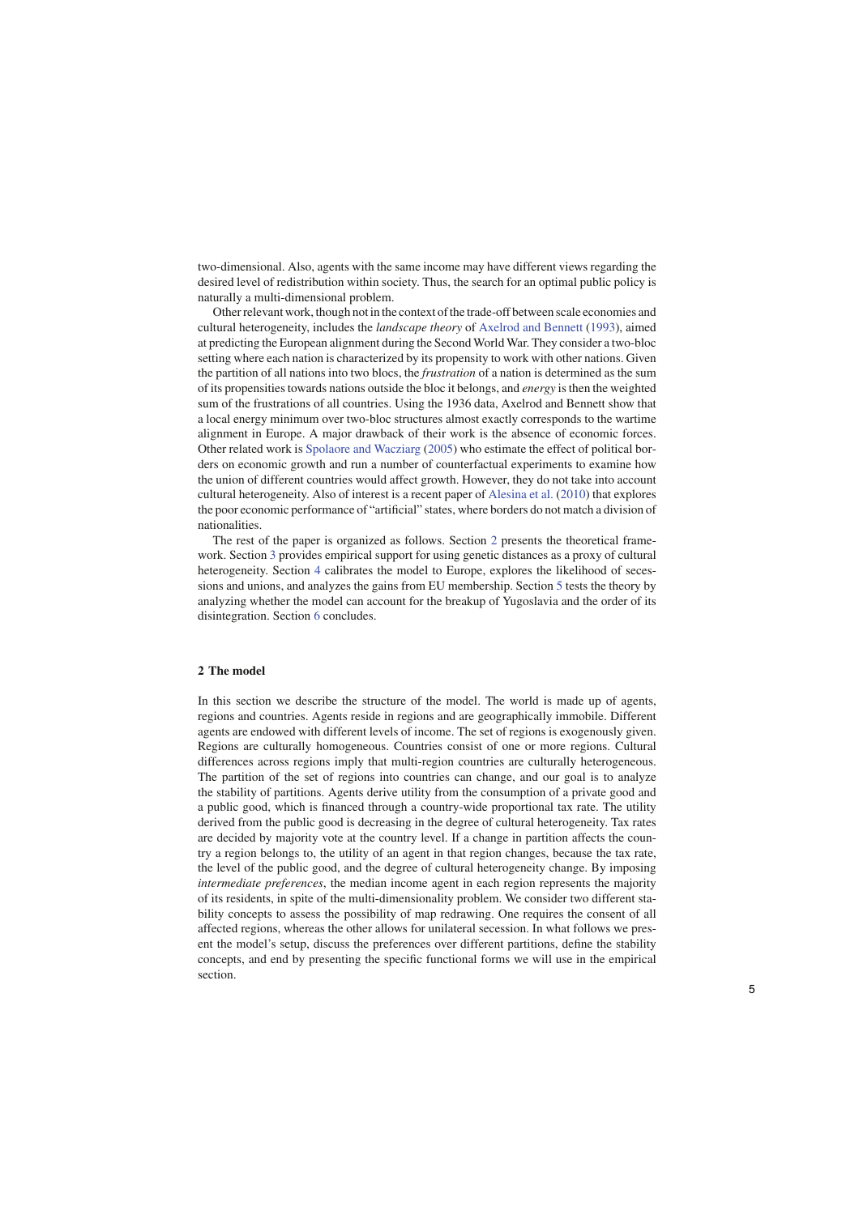two-dimensional. Also, agents with the same income may have different views regarding the desired level of redistribution within society. Thus, the search for an optimal public policy is naturally a multi-dimensional problem.

Other relevant work, though not in the context of the trade-off between scale economies and cultural heterogeneity, includes the *landscape theory* of Axelrod and Bennett (1993), aimed at predicting the European alignment during the Second World War. They consider a two-bloc setting where each nation is characterized by its propensity to work with other nations. Given the partition of all nations into two blocs, the *frustration* of a nation is determined as the sum of its propensities towards nations outside the bloc it belongs, and *energy* is then the weighted sum of the frustrations of all countries. Using the 1936 data, Axelrod and Bennett show that a local energy minimum over two-bloc structures almost exactly corresponds to the wartime alignment in Europe. A major drawback of their work is the absence of economic forces. Other related work is Spolaore and Wacziarg (2005) who estimate the effect of political borders on economic growth and run a number of counterfactual experiments to examine how the union of different countries would affect growth. However, they do not take into account cultural heterogeneity. Also of interest is a recent paper of Alesina et al. (2010) that explores the poor economic performance of "artificial" states, where borders do not match a division of nationalities.

The rest of the paper is organized as follows. Section 2 presents the theoretical framework. Section 3 provides empirical support for using genetic distances as a proxy of cultural heterogeneity. Section 4 calibrates the model to Europe, explores the likelihood of secessions and unions, and analyzes the gains from EU membership. Section 5 tests the theory by analyzing whether the model can account for the breakup of Yugoslavia and the order of its disintegration. Section 6 concludes.

### **2 The model**

In this section we describe the structure of the model. The world is made up of agents, regions and countries. Agents reside in regions and are geographically immobile. Different agents are endowed with different levels of income. The set of regions is exogenously given. Regions are culturally homogeneous. Countries consist of one or more regions. Cultural differences across regions imply that multi-region countries are culturally heterogeneous. The partition of the set of regions into countries can change, and our goal is to analyze the stability of partitions. Agents derive utility from the consumption of a private good and a public good, which is financed through a country-wide proportional tax rate. The utility derived from the public good is decreasing in the degree of cultural heterogeneity. Tax rates are decided by majority vote at the country level. If a change in partition affects the country a region belongs to, the utility of an agent in that region changes, because the tax rate, the level of the public good, and the degree of cultural heterogeneity change. By imposing *intermediate preferences*, the median income agent in each region represents the majority of its residents, in spite of the multi-dimensionality problem. We consider two different stability concepts to assess the possibility of map redrawing. One requires the consent of all affected regions, whereas the other allows for unilateral secession. In what follows we present the model's setup, discuss the preferences over different partitions, define the stability concepts, and end by presenting the specific functional forms we will use in the empirical section.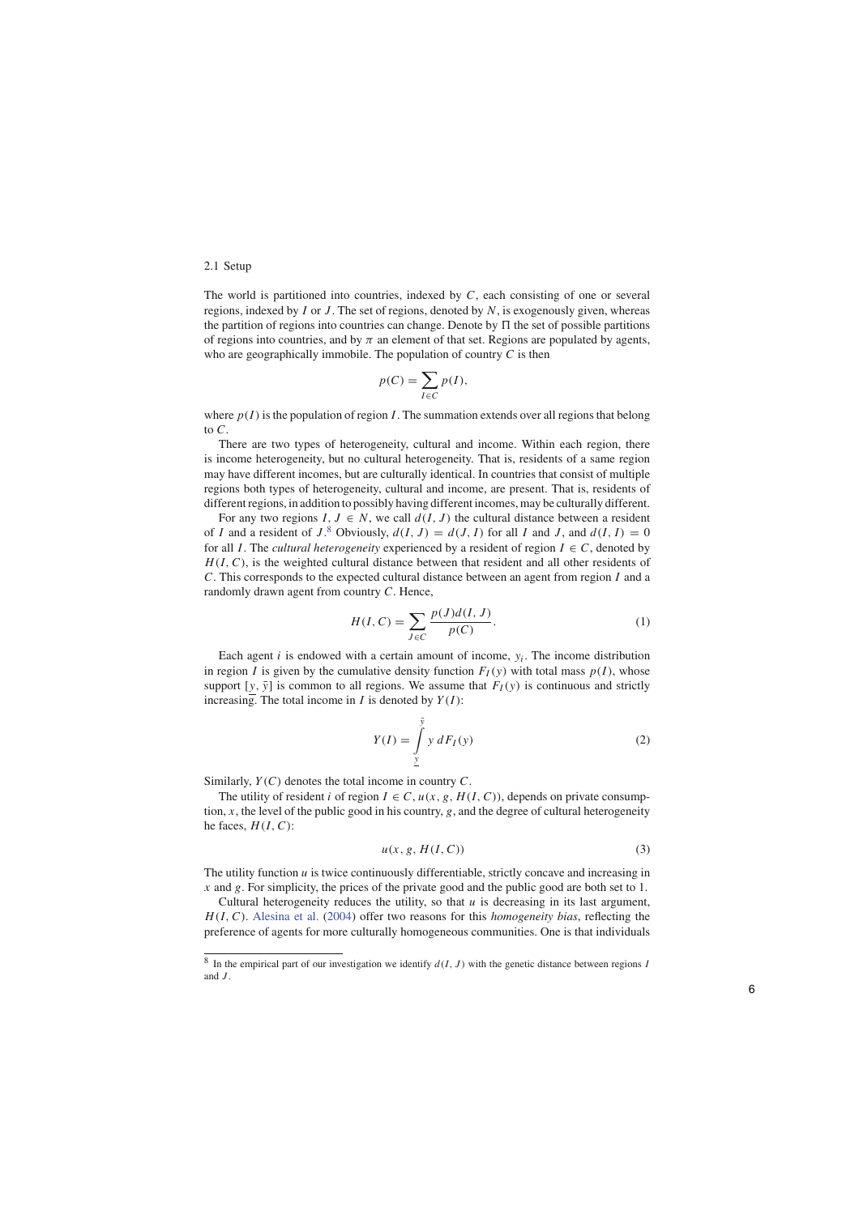### 2.1 Setup

The world is partitioned into countries, indexed by *C*, each consisting of one or several regions, indexed by *I* or *J* . The set of regions, denoted by *N*, is exogenously given, whereas the partition of regions into countries can change. Denote by  $\Pi$  the set of possible partitions of regions into countries, and by  $\pi$  an element of that set. Regions are populated by agents, who are geographically immobile. The population of country *C* is then

$$
p(C) = \sum_{I \in C} p(I),
$$

where  $p(I)$  is the population of region *I*. The summation extends over all regions that belong to *C*.

There are two types of heterogeneity, cultural and income. Within each region, there is income heterogeneity, but no cultural heterogeneity. That is, residents of a same region may have different incomes, but are culturally identical. In countries that consist of multiple regions both types of heterogeneity, cultural and income, are present. That is, residents of different regions, in addition to possibly having different incomes, may be culturally different.

For any two regions  $I, J \in N$ , we call  $d(I, J)$  the cultural distance between a resident of *I* and a resident of  $J$ .<sup>8</sup> Obviously,  $d(I, J) = d(J, I)$  for all *I* and *J*, and  $d(I, I) = 0$ for all *I*. The *cultural heterogeneity* experienced by a resident of region  $I \in C$ , denoted by *H*(*I*, *C*), is the weighted cultural distance between that resident and all other residents of *C*. This corresponds to the expected cultural distance between an agent from region *I* and a randomly drawn agent from country *C*. Hence,

$$
H(I, C) = \sum_{J \in C} \frac{p(J)d(I, J)}{p(C)}.
$$
 (1)

Each agent  $i$  is endowed with a certain amount of income,  $y_i$ . The income distribution in region *I* is given by the cumulative density function  $F_I(y)$  with total mass  $p(I)$ , whose support  $[\nu, \bar{\nu}]$  is common to all regions. We assume that  $F_I(\nu)$  is continuous and strictly increasing. The total income in *I* is denoted by  $Y(I)$ :

$$
Y(I) = \int_{\frac{y}{2}}^{\bar{y}} y dF_I(y)
$$
 (2)

Similarly, *Y* (*C*) denotes the total income in country *C*.

The utility of resident *i* of region  $I \in C$ ,  $u(x, g, H(I, C))$ , depends on private consumption,  $x$ , the level of the public good in his country,  $g$ , and the degree of cultural heterogeneity he faces,  $H(I, C)$ :

$$
u(x, g, H(I, C)) \tag{3}
$$

The utility function *u* is twice continuously differentiable, strictly concave and increasing in *x* and *g*. For simplicity, the prices of the private good and the public good are both set to 1.

Cultural heterogeneity reduces the utility, so that  $u$  is decreasing in its last argument, *H*(*I*,*C*). Alesina et al. (2004) offer two reasons for this *homogeneity bias*, reflecting the preference of agents for more culturally homogeneous communities. One is that individuals

 $8 \text{ In the empirical part of our investigation we identify  $d(I, J)$  with the genetic distance between regions *I*$ and *J* .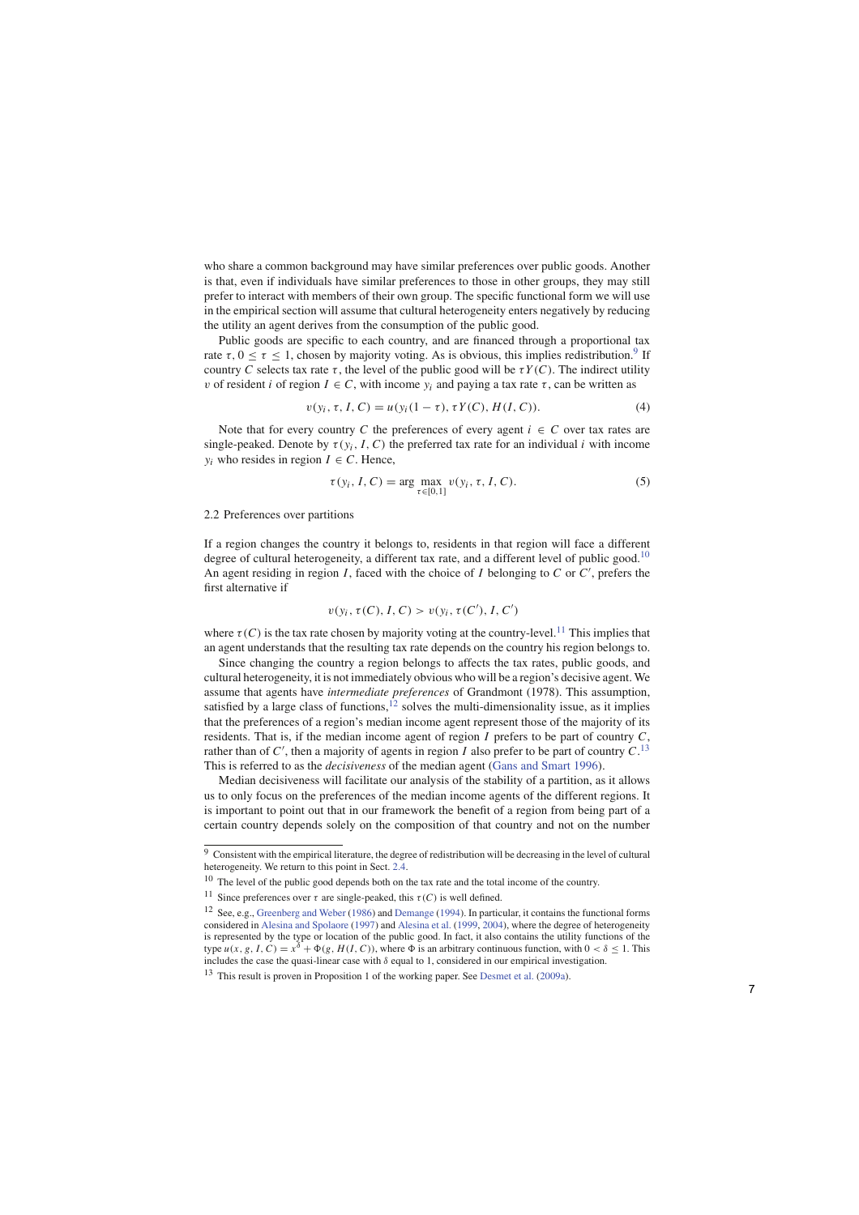who share a common background may have similar preferences over public goods. Another is that, even if individuals have similar preferences to those in other groups, they may still prefer to interact with members of their own group. The specific functional form we will use in the empirical section will assume that cultural heterogeneity enters negatively by reducing the utility an agent derives from the consumption of the public good.

Public goods are specific to each country, and are financed through a proportional tax rate  $\tau$ ,  $0 \le \tau \le 1$ , chosen by majority voting. As is obvious, this implies redistribution.<sup>9</sup> If country *C* selects tax rate  $\tau$ , the level of the public good will be  $\tau Y(C)$ . The indirect utility v of resident *i* of region  $I \in C$ , with income  $y_i$  and paying a tax rate  $\tau$ , can be written as

$$
v(y_i, \tau, I, C) = u(y_i(1 - \tau), \tau Y(C), H(I, C)).
$$
\n(4)

Note that for every country *C* the preferences of every agent  $i \in C$  over tax rates are single-peaked. Denote by  $\tau(y_i, I, C)$  the preferred tax rate for an individual *i* with income *y*<sup>*i*</sup> who resides in region  $I \in \mathbb{C}$ . Hence,

$$
\tau(y_i, I, C) = \arg \max_{\tau \in [0, 1]} v(y_i, \tau, I, C).
$$
 (5)

### 2.2 Preferences over partitions

If a region changes the country it belongs to, residents in that region will face a different degree of cultural heterogeneity, a different tax rate, and a different level of public good.<sup>10</sup> An agent residing in region *I*, faced with the choice of *I* belonging to *C* or *C* ′ , prefers the first alternative if

$$
v(y_i, \tau(C), I, C) > v(y_i, \tau(C'), I, C')
$$

where  $\tau(C)$  is the tax rate chosen by majority voting at the country-level.<sup>11</sup> This implies that an agent understands that the resulting tax rate depends on the country his region belongs to.

Since changing the country a region belongs to affects the tax rates, public goods, and cultural heterogeneity, it is not immediately obvious who will be a region's decisive agent. We assume that agents have *intermediate preferences* of Grandmont (1978). This assumption, satisfied by a large class of functions, $12$  solves the multi-dimensionality issue, as it implies that the preferences of a region's median income agent represent those of the majority of its residents. That is, if the median income agent of region *I* prefers to be part of country *C*, rather than of *C'*, then a majority of agents in region *I* also prefer to be part of country *C*.<sup>13</sup> This is referred to as the *decisiveness* of the median agent (Gans and Smart 1996).

Median decisiveness will facilitate our analysis of the stability of a partition, as it allows us to only focus on the preferences of the median income agents of the different regions. It is important to point out that in our framework the benefit of a region from being part of a certain country depends solely on the composition of that country and not on the number

<sup>&</sup>lt;sup>9</sup> Consistent with the empirical literature, the degree of redistribution will be decreasing in the level of cultural heterogeneity. We return to this point in Sect. 2.4.

<sup>&</sup>lt;sup>10</sup> The level of the public good depends both on the tax rate and the total income of the country.

<sup>&</sup>lt;sup>11</sup> Since preferences over  $\tau$  are single-peaked, this  $\tau(C)$  is well defined.

<sup>12</sup> See, e.g., Greenberg and Weber (1986) and Demange (1994). In particular, it contains the functional forms considered in Alesina and Spolaore (1997) and Alesina et al. (1999, 2004), where the degree of heterogeneity is represented by the type or location of the public good. In fact, it also contains the utility functions of the type  $u(x, g, I, C) = x^{\delta} + \Phi(g, H(I, C))$ , where  $\Phi$  is an arbitrary continuous function, with  $0 < \delta \leq 1$ . This includes the case the quasi-linear case with  $\delta$  equal to 1, considered in our empirical investigation.

<sup>&</sup>lt;sup>13</sup> This result is proven in Proposition 1 of the working paper. See Desmet et al. (2009a).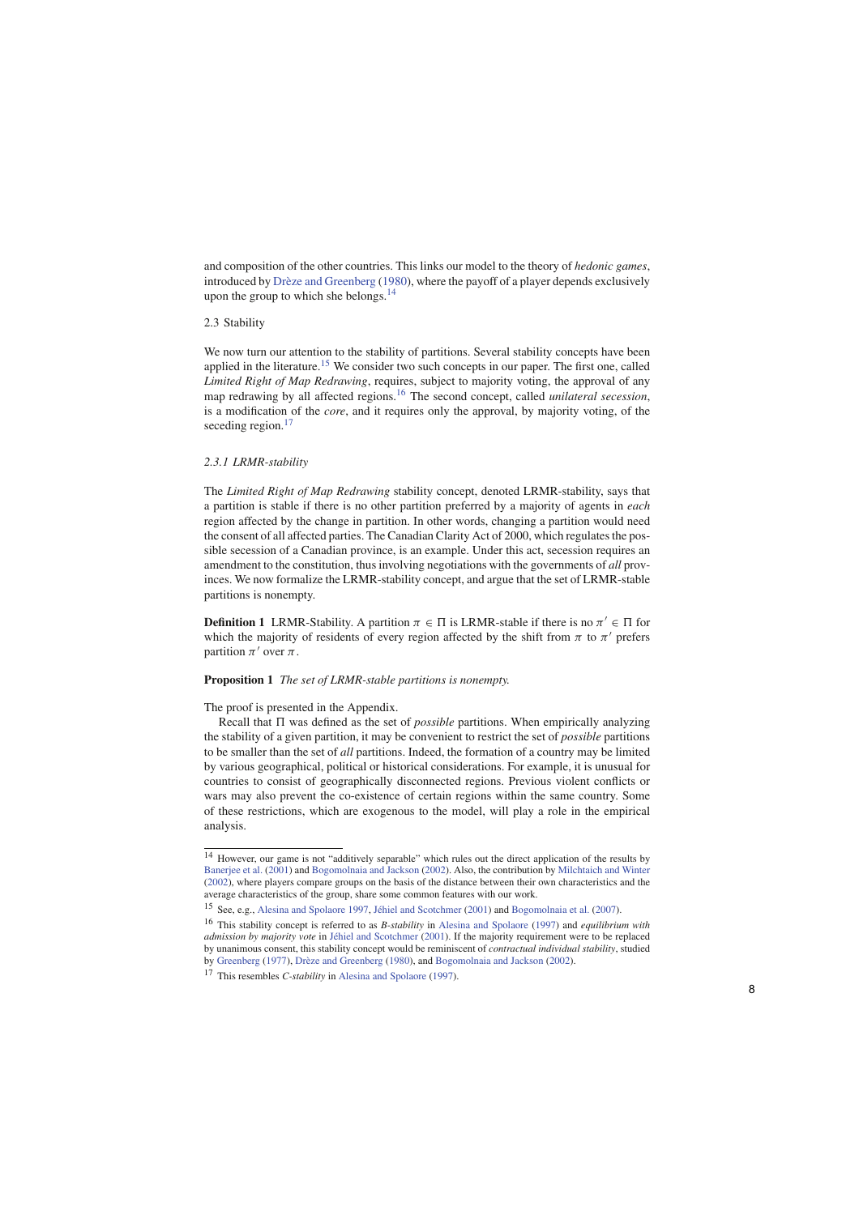and composition of the other countries. This links our model to the theory of *hedonic games*, introduced by Drèze and Greenberg (1980), where the payoff of a player depends exclusively upon the group to which she belongs. $^{14}$ 

### 2.3 Stability

We now turn our attention to the stability of partitions. Several stability concepts have been applied in the literature.<sup>15</sup> We consider two such concepts in our paper. The first one, called *Limited Right of Map Redrawing*, requires, subject to majority voting, the approval of any map redrawing by all affected regions.<sup>16</sup> The second concept, called *unilateral secession*, is a modification of the *core*, and it requires only the approval, by majority voting, of the seceding region. $17$ 

# *2.3.1 LRMR-stability*

The *Limited Right of Map Redrawing* stability concept, denoted LRMR-stability, says that a partition is stable if there is no other partition preferred by a majority of agents in *each* region affected by the change in partition. In other words, changing a partition would need the consent of all affected parties. The Canadian Clarity Act of 2000, which regulates the possible secession of a Canadian province, is an example. Under this act, secession requires an amendment to the constitution, thus involving negotiations with the governments of *all* provinces. We now formalize the LRMR-stability concept, and argue that the set of LRMR-stable partitions is nonempty.

**Definition 1** LRMR-Stability. A partition  $\pi \in \Pi$  is LRMR-stable if there is no  $\pi' \in \Pi$  for which the majority of residents of every region affected by the shift from  $\pi$  to  $\pi'$  prefers partition  $\pi'$  over  $\pi$ .

### **Proposition 1** *The set of LRMR-stable partitions is nonempty.*

The proof is presented in the Appendix.

Recall that  $\Pi$  was defined as the set of *possible* partitions. When empirically analyzing the stability of a given partition, it may be convenient to restrict the set of *possible* partitions to be smaller than the set of *all* partitions. Indeed, the formation of a country may be limited by various geographical, political or historical considerations. For example, it is unusual for countries to consist of geographically disconnected regions. Previous violent conflicts or wars may also prevent the co-existence of certain regions within the same country. Some of these restrictions, which are exogenous to the model, will play a role in the empirical analysis.

<sup>14</sup> However, our game is not "additively separable" which rules out the direct application of the results by Banerjee et al. (2001) and Bogomolnaia and Jackson (2002). Also, the contribution by Milchtaich and Winter (2002), where players compare groups on the basis of the distance between their own characteristics and the average characteristics of the group, share some common features with our work.

<sup>15</sup> See, e.g., Alesina and Spolaore 1997, Jéhiel and Scotchmer (2001) and Bogomolnaia et al. (2007).

<sup>16</sup> This stability concept is referred to as *B-stability* in Alesina and Spolaore (1997) and *equilibrium with admission by majority vote* in Jéhiel and Scotchmer (2001). If the majority requirement were to be replaced by unanimous consent, this stability concept would be reminiscent of *contractual individual stability*, studied by Greenberg (1977), Drèze and Greenberg (1980), and Bogomolnaia and Jackson (2002).

<sup>17</sup> This resembles *C-stability* in Alesina and Spolaore (1997).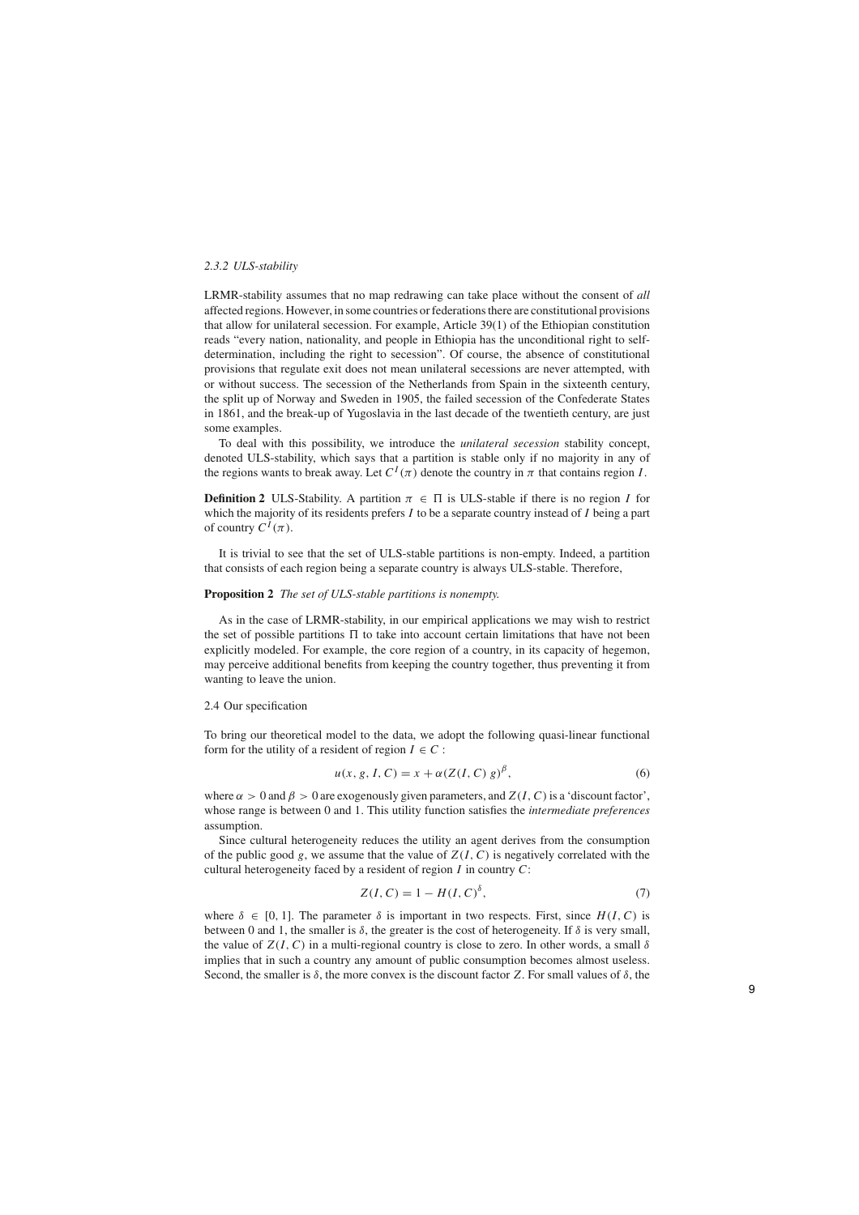### *2.3.2 ULS-stability*

LRMR-stability assumes that no map redrawing can take place without the consent of *all* affected regions. However, in some countries or federations there are constitutional provisions that allow for unilateral secession. For example, Article 39(1) of the Ethiopian constitution reads "every nation, nationality, and people in Ethiopia has the unconditional right to selfdetermination, including the right to secession". Of course, the absence of constitutional provisions that regulate exit does not mean unilateral secessions are never attempted, with or without success. The secession of the Netherlands from Spain in the sixteenth century, the split up of Norway and Sweden in 1905, the failed secession of the Confederate States in 1861, and the break-up of Yugoslavia in the last decade of the twentieth century, are just some examples.

To deal with this possibility, we introduce the *unilateral secession* stability concept, denoted ULS-stability, which says that a partition is stable only if no majority in any of the regions wants to break away. Let  $C^{I}(\pi)$  denote the country in  $\pi$  that contains region *I*.

**Definition 2** ULS-Stability. A partition  $\pi \in \Pi$  is ULS-stable if there is no region *I* for which the majority of its residents prefers *I* to be a separate country instead of *I* being a part of country  $C^I(\pi)$ .

It is trivial to see that the set of ULS-stable partitions is non-empty. Indeed, a partition that consists of each region being a separate country is always ULS-stable. Therefore,

### **Proposition 2** *The set of ULS-stable partitions is nonempty.*

As in the case of LRMR-stability, in our empirical applications we may wish to restrict the set of possible partitions  $\Pi$  to take into account certain limitations that have not been explicitly modeled. For example, the core region of a country, in its capacity of hegemon, may perceive additional benefits from keeping the country together, thus preventing it from wanting to leave the union.

#### 2.4 Our specification

To bring our theoretical model to the data, we adopt the following quasi-linear functional form for the utility of a resident of region  $I \in \mathbb{C}$ :

$$
u(x, g, I, C) = x + \alpha (Z(I, C) g)^{\beta},
$$
\n(6)

where  $\alpha > 0$  and  $\beta > 0$  are exogenously given parameters, and  $Z(I, C)$  is a 'discount factor', whose range is between 0 and 1. This utility function satisfies the *intermediate preferences* assumption.

Since cultural heterogeneity reduces the utility an agent derives from the consumption of the public good *g*, we assume that the value of  $Z(I, C)$  is negatively correlated with the cultural heterogeneity faced by a resident of region *I* in country *C*:

$$
Z(I, C) = 1 - H(I, C)^{\delta},\tag{7}
$$

where  $\delta \in [0, 1]$ . The parameter  $\delta$  is important in two respects. First, since  $H(I, C)$  is between 0 and 1, the smaller is  $\delta$ , the greater is the cost of heterogeneity. If  $\delta$  is very small, the value of  $Z(I, C)$  in a multi-regional country is close to zero. In other words, a small  $\delta$ implies that in such a country any amount of public consumption becomes almost useless. Second, the smaller is  $\delta$ , the more convex is the discount factor *Z*. For small values of  $\delta$ , the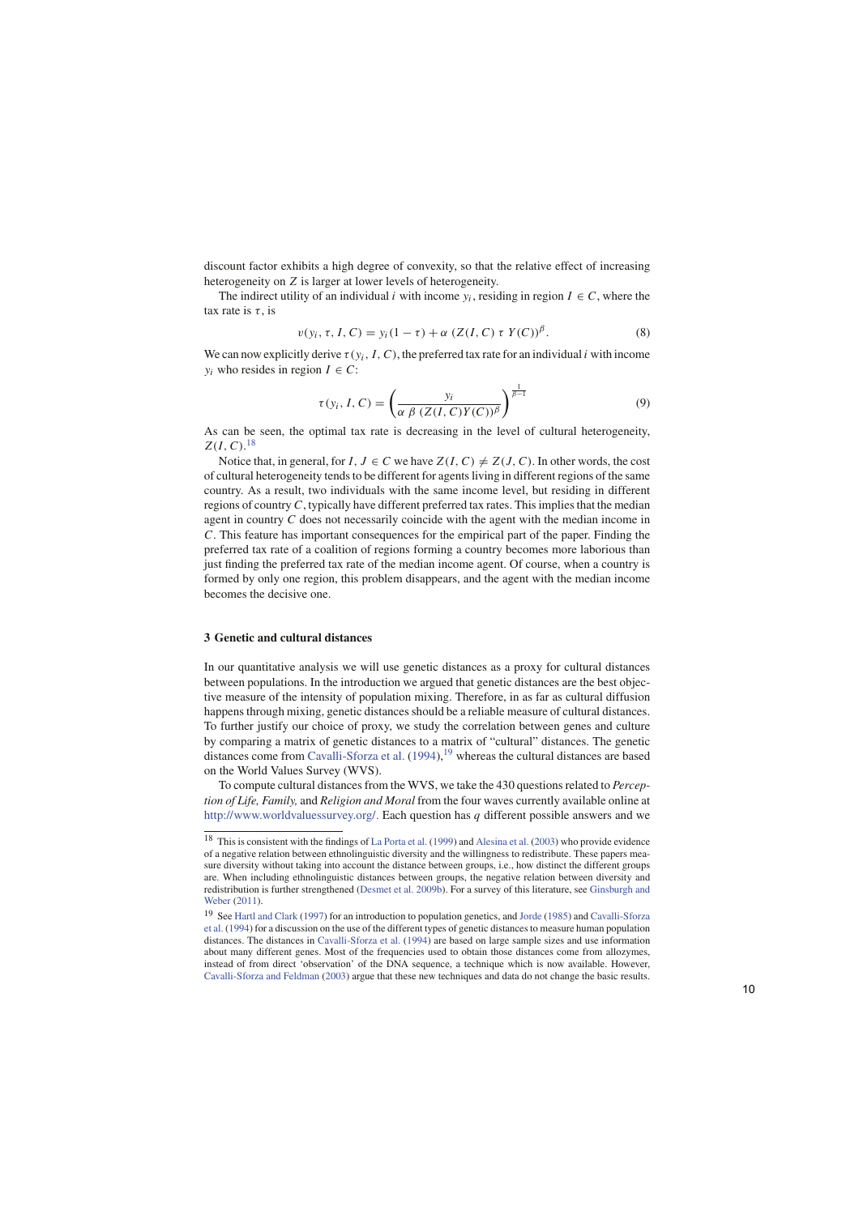discount factor exhibits a high degree of convexity, so that the relative effect of increasing heterogeneity on *Z* is larger at lower levels of heterogeneity.

The indirect utility of an individual *i* with income  $y_i$ , residing in region  $I \in C$ , where the tax rate is  $\tau$ , is

$$
v(y_i, \tau, I, C) = y_i (1 - \tau) + \alpha (Z(I, C) \tau Y(C))^{\beta}.
$$
 (8)

We can now explicitly derive  $\tau(y_i, I, C)$ , the preferred tax rate for an individual *i* with income *y*<sub>*i*</sub> who resides in region  $I \in C$ :

$$
\tau(y_i, I, C) = \left(\frac{y_i}{\alpha \beta \left(Z(I, C)Y(C)\right)^{\beta}}\right)^{\frac{1}{\beta - 1}}\tag{9}
$$

As can be seen, the optimal tax rate is decreasing in the level of cultural heterogeneity, *Z*(*I*,*C*). 18

Notice that, in general, for *I*,  $J \in C$  we have  $Z(I, C) \neq Z(J, C)$ . In other words, the cost of cultural heterogeneity tends to be different for agents living in different regions of the same country. As a result, two individuals with the same income level, but residing in different regions of country *C*, typically have different preferred tax rates. This implies that the median agent in country *C* does not necessarily coincide with the agent with the median income in *C*. This feature has important consequences for the empirical part of the paper. Finding the preferred tax rate of a coalition of regions forming a country becomes more laborious than just finding the preferred tax rate of the median income agent. Of course, when a country is formed by only one region, this problem disappears, and the agent with the median income becomes the decisive one.

## **3 Genetic and cultural distances**

In our quantitative analysis we will use genetic distances as a proxy for cultural distances between populations. In the introduction we argued that genetic distances are the best objective measure of the intensity of population mixing. Therefore, in as far as cultural diffusion happens through mixing, genetic distances should be a reliable measure of cultural distances. To further justify our choice of proxy, we study the correlation between genes and culture by comparing a matrix of genetic distances to a matrix of "cultural" distances. The genetic distances come from Cavalli-Sforza et al.  $(1994)$ ,<sup>19</sup> whereas the cultural distances are based on the World Values Survey (WVS).

To compute cultural distances from the WVS, we take the 430 questions related to *Perception of Life, Family,* and *Religion and Moral* from the four waves currently available online at http://www.worldvaluessurvey.org/. Each question has *q* different possible answers and we

<sup>18</sup> This is consistent with the findings of La Porta et al. (1999) and Alesina et al. (2003) who provide evidence of a negative relation between ethnolinguistic diversity and the willingness to redistribute. These papers measure diversity without taking into account the distance between groups, i.e., how distinct the different groups are. When including ethnolinguistic distances between groups, the negative relation between diversity and redistribution is further strengthened (Desmet et al. 2009b). For a survey of this literature, see Ginsburgh and Weber (2011).

<sup>19</sup> See Hartl and Clark (1997) for an introduction to population genetics, and Jorde (1985) and Cavalli-Sforza et al. (1994) for a discussion on the use of the different types of genetic distances to measure human population distances. The distances in Cavalli-Sforza et al. (1994) are based on large sample sizes and use information about many different genes. Most of the frequencies used to obtain those distances come from allozymes, instead of from direct 'observation' of the DNA sequence, a technique which is now available. However, Cavalli-Sforza and Feldman (2003) argue that these new techniques and data do not change the basic results.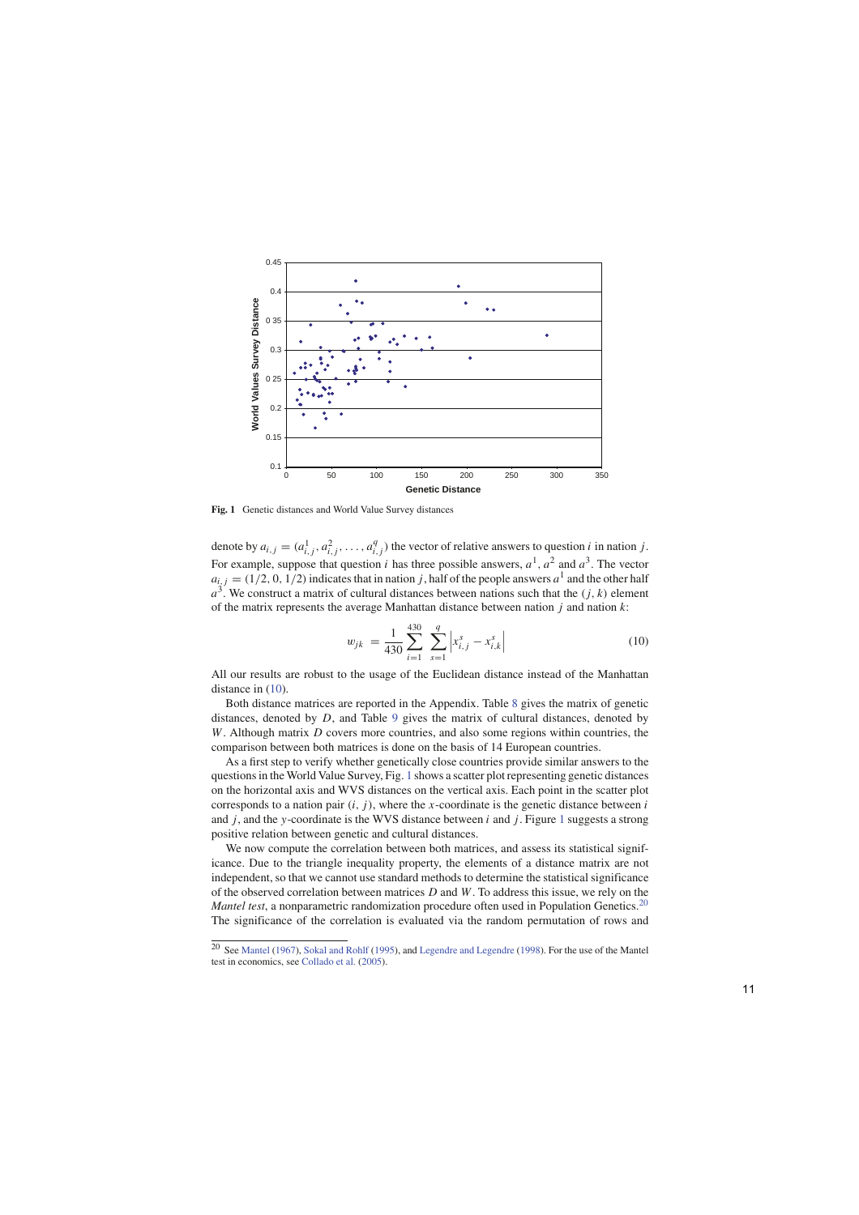

**Fig. 1** Genetic distances and World Value Survey distances

denote by  $a_{i,j} = (a_{i,j}^1, a_{i,j}^2, \dots, a_{i,j}^q)$  the vector of relative answers to question *i* in nation *j*. For example, suppose that question *i* has three possible answers,  $a^1$ ,  $a^2$  and  $a^3$ . The vector  $a_{i,j} = (1/2, 0, 1/2)$  indicates that in nation *j*, half of the people answers  $a^1$  and the other half  $a^3$ . We construct a matrix of cultural distances between nations such that the  $(j, k)$  element of the matrix represents the average Manhattan distance between nation *j* and nation *k*:

$$
w_{jk} = \frac{1}{430} \sum_{i=1}^{430} \sum_{s=1}^{q} \left| x_{i,j}^s - x_{i,k}^s \right|
$$
 (10)

All our results are robust to the usage of the Euclidean distance instead of the Manhattan distance in  $(10)$ .

Both distance matrices are reported in the Appendix. Table 8 gives the matrix of genetic distances, denoted by  $D$ , and Table 9 gives the matrix of cultural distances, denoted by *W*. Although matrix *D* covers more countries, and also some regions within countries, the comparison between both matrices is done on the basis of 14 European countries.

As a first step to verify whether genetically close countries provide similar answers to the questions in the World Value Survey, Fig. 1 shows a scatter plot representing genetic distances on the horizontal axis and WVS distances on the vertical axis. Each point in the scatter plot corresponds to a nation pair  $(i, j)$ , where the *x*-coordinate is the genetic distance between  $i$ and *j*, and the *y*-coordinate is the WVS distance between *i* and *j*. Figure 1 suggests a strong positive relation between genetic and cultural distances.

We now compute the correlation between both matrices, and assess its statistical significance. Due to the triangle inequality property, the elements of a distance matrix are not independent, so that we cannot use standard methods to determine the statistical significance of the observed correlation between matrices *D* and *W*. To address this issue, we rely on the *Mantel test*, a nonparametric randomization procedure often used in Population Genetics.<sup>20</sup> The significance of the correlation is evaluated via the random permutation of rows and

<sup>20</sup> See Mantel (1967), Sokal and Rohlf (1995), and Legendre and Legendre (1998). For the use of the Mantel test in economics, see Collado et al. (2005).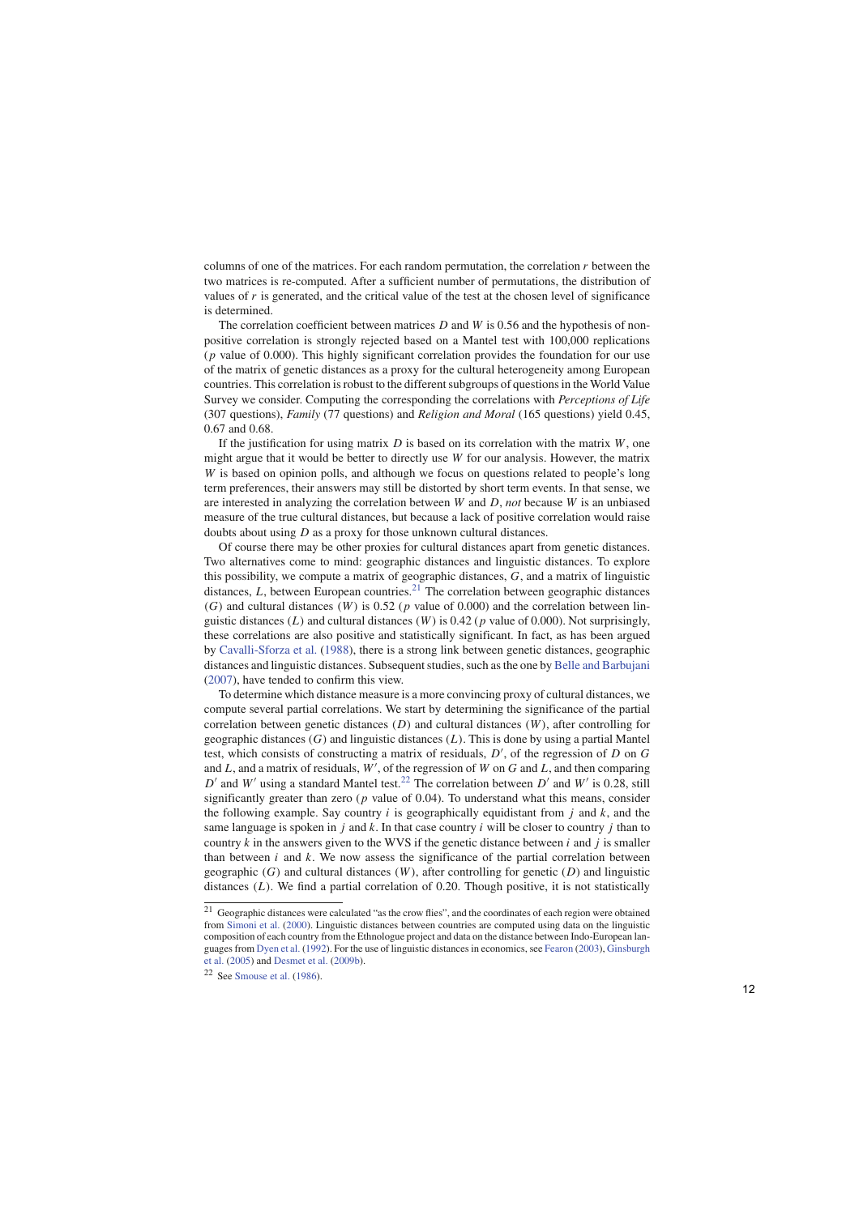columns of one of the matrices. For each random permutation, the correlation *r* between the two matrices is re-computed. After a sufficient number of permutations, the distribution of values of  $r$  is generated, and the critical value of the test at the chosen level of significance is determined.

The correlation coefficient between matrices *D* and *W* is 0.56 and the hypothesis of nonpositive correlation is strongly rejected based on a Mantel test with 100,000 replications (*p* value of 0.000). This highly significant correlation provides the foundation for our use of the matrix of genetic distances as a proxy for the cultural heterogeneity among European countries. This correlation is robust to the different subgroups of questions in the World Value Survey we consider. Computing the corresponding the correlations with *Perceptions of Life* (307 questions), *Family* (77 questions) and *Religion and Moral* (165 questions) yield 0.45, 0.67 and 0.68.

If the justification for using matrix *D* is based on its correlation with the matrix *W*, one might argue that it would be better to directly use *W* for our analysis. However, the matrix *W* is based on opinion polls, and although we focus on questions related to people's long term preferences, their answers may still be distorted by short term events. In that sense, we are interested in analyzing the correlation between *W* and *D*, *not* because *W* is an unbiased measure of the true cultural distances, but because a lack of positive correlation would raise doubts about using *D* as a proxy for those unknown cultural distances.

Of course there may be other proxies for cultural distances apart from genetic distances. Two alternatives come to mind: geographic distances and linguistic distances. To explore this possibility, we compute a matrix of geographic distances, *G*, and a matrix of linguistic distances,  $L$ , between European countries.<sup>21</sup> The correlation between geographic distances (*G*) and cultural distances (*W*) is 0.52 (*p* value of 0.000) and the correlation between linguistic distances (*L*) and cultural distances (*W*) is 0.42 (*p* value of 0.000). Not surprisingly, these correlations are also positive and statistically significant. In fact, as has been argued by Cavalli-Sforza et al. (1988), there is a strong link between genetic distances, geographic distances and linguistic distances. Subsequent studies, such as the one by Belle and Barbujani (2007), have tended to confirm this view.

To determine which distance measure is a more convincing proxy of cultural distances, we compute several partial correlations. We start by determining the significance of the partial correlation between genetic distances (*D*) and cultural distances (*W*), after controlling for geographic distances (*G*) and linguistic distances (*L*). This is done by using a partial Mantel test, which consists of constructing a matrix of residuals, *D* ′ , of the regression of *D* on *G* and *L*, and a matrix of residuals, *W*′ , of the regression of *W* on *G* and *L*, and then comparing  $D'$  and  $W'$  using a standard Mantel test.<sup>22</sup> The correlation between  $D'$  and  $W'$  is 0.28, still significantly greater than zero (*p* value of 0.04). To understand what this means, consider the following example. Say country *i* is geographically equidistant from *j* and *k*, and the same language is spoken in  $j$  and  $k$ . In that case country  $i$  will be closer to country  $j$  than to country  $k$  in the answers given to the WVS if the genetic distance between  $i$  and  $j$  is smaller than between  $i$  and  $k$ . We now assess the significance of the partial correlation between geographic (*G*) and cultural distances (*W*), after controlling for genetic (*D*) and linguistic distances (*L*). We find a partial correlation of 0.20. Though positive, it is not statistically

 $21$  Geographic distances were calculated "as the crow flies", and the coordinates of each region were obtained from Simoni et al. (2000). Linguistic distances between countries are computed using data on the linguistic composition of each country from the Ethnologue project and data on the distance between Indo-European languages from Dyen et al. (1992). For the use of linguistic distances in economics, see Fearon (2003), Ginsburgh et al. (2005) and Desmet et al. (2009b).

<sup>22</sup> See Smouse et al. (1986).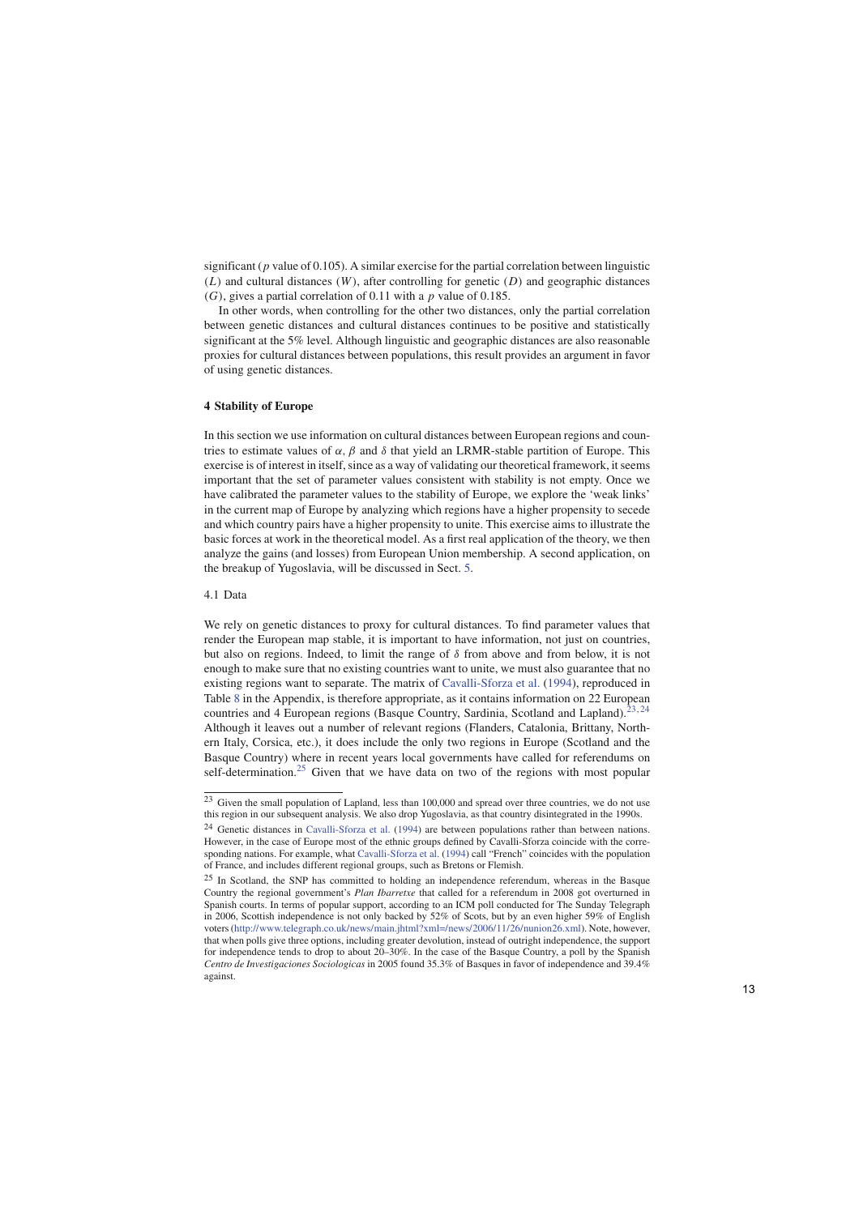significant (*p* value of 0.105). A similar exercise for the partial correlation between linguistic (*L*) and cultural distances (*W*), after controlling for genetic (*D*) and geographic distances (*G*), gives a partial correlation of 0.11 with a *p* value of 0.185.

In other words, when controlling for the other two distances, only the partial correlation between genetic distances and cultural distances continues to be positive and statistically significant at the 5% level. Although linguistic and geographic distances are also reasonable proxies for cultural distances between populations, this result provides an argument in favor of using genetic distances.

# **4 Stability of Europe**

In this section we use information on cultural distances between European regions and countries to estimate values of  $\alpha$ ,  $\beta$  and  $\delta$  that yield an LRMR-stable partition of Europe. This exercise is of interest in itself, since as a way of validating our theoretical framework, it seems important that the set of parameter values consistent with stability is not empty. Once we have calibrated the parameter values to the stability of Europe, we explore the 'weak links' in the current map of Europe by analyzing which regions have a higher propensity to secede and which country pairs have a higher propensity to unite. This exercise aims to illustrate the basic forces at work in the theoretical model. As a first real application of the theory, we then analyze the gains (and losses) from European Union membership. A second application, on the breakup of Yugoslavia, will be discussed in Sect. 5.

# 4.1 Data

We rely on genetic distances to proxy for cultural distances. To find parameter values that render the European map stable, it is important to have information, not just on countries, but also on regions. Indeed, to limit the range of  $\delta$  from above and from below, it is not enough to make sure that no existing countries want to unite, we must also guarantee that no existing regions want to separate. The matrix of Cavalli-Sforza et al. (1994), reproduced in Table 8 in the Appendix, is therefore appropriate, as it contains information on 22 European countries and 4 European regions (Basque Country, Sardinia, Scotland and Lapland).<sup>23,24</sup> Although it leaves out a number of relevant regions (Flanders, Catalonia, Brittany, Northern Italy, Corsica, etc.), it does include the only two regions in Europe (Scotland and the Basque Country) where in recent years local governments have called for referendums on self-determination.<sup>25</sup> Given that we have data on two of the regions with most popular

<sup>&</sup>lt;sup>23</sup> Given the small population of Lapland, less than 100,000 and spread over three countries, we do not use this region in our subsequent analysis. We also drop Yugoslavia, as that country disintegrated in the 1990s.

<sup>24</sup> Genetic distances in Cavalli-Sforza et al. (1994) are between populations rather than between nations. However, in the case of Europe most of the ethnic groups defined by Cavalli-Sforza coincide with the corresponding nations. For example, what Cavalli-Sforza et al. (1994) call "French" coincides with the population of France, and includes different regional groups, such as Bretons or Flemish.

<sup>&</sup>lt;sup>25</sup> In Scotland, the SNP has committed to holding an independence referendum, whereas in the Basque Country the regional government's *Plan Ibarretxe* that called for a referendum in 2008 got overturned in Spanish courts. In terms of popular support, according to an ICM poll conducted for The Sunday Telegraph in 2006, Scottish independence is not only backed by 52% of Scots, but by an even higher 59% of English voters (http://www.telegraph.co.uk/news/main.jhtml?xml=/news/2006/11/26/nunion26.xml). Note, however, that when polls give three options, including greater devolution, instead of outright independence, the support for independence tends to drop to about 20–30%. In the case of the Basque Country, a poll by the Spanish *Centro de Investigaciones Sociologicas* in 2005 found 35.3% of Basques in favor of independence and 39.4% against.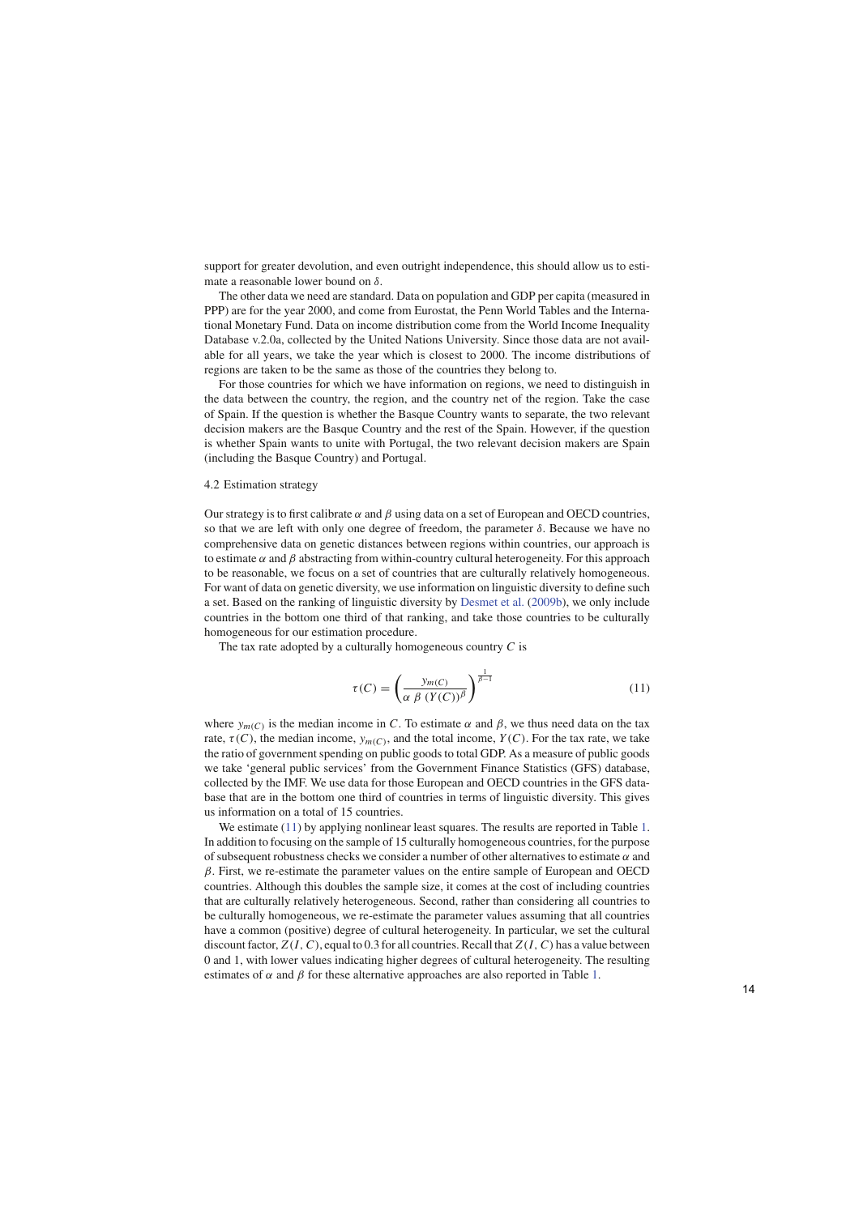support for greater devolution, and even outright independence, this should allow us to estimate a reasonable lower bound on  $\delta$ .

The other data we need are standard. Data on population and GDP per capita (measured in PPP) are for the year 2000, and come from Eurostat, the Penn World Tables and the International Monetary Fund. Data on income distribution come from the World Income Inequality Database v.2.0a, collected by the United Nations University. Since those data are not available for all years, we take the year which is closest to 2000. The income distributions of regions are taken to be the same as those of the countries they belong to.

For those countries for which we have information on regions, we need to distinguish in the data between the country, the region, and the country net of the region. Take the case of Spain. If the question is whether the Basque Country wants to separate, the two relevant decision makers are the Basque Country and the rest of the Spain. However, if the question is whether Spain wants to unite with Portugal, the two relevant decision makers are Spain (including the Basque Country) and Portugal.

### 4.2 Estimation strategy

Our strategy is to first calibrate  $\alpha$  and  $\beta$  using data on a set of European and OECD countries, so that we are left with only one degree of freedom, the parameter  $\delta$ . Because we have no comprehensive data on genetic distances between regions within countries, our approach is to estimate  $\alpha$  and  $\beta$  abstracting from within-country cultural heterogeneity. For this approach to be reasonable, we focus on a set of countries that are culturally relatively homogeneous. For want of data on genetic diversity, we use information on linguistic diversity to define such a set. Based on the ranking of linguistic diversity by Desmet et al. (2009b), we only include countries in the bottom one third of that ranking, and take those countries to be culturally homogeneous for our estimation procedure.

The tax rate adopted by a culturally homogeneous country *C* is

$$
\tau(C) = \left(\frac{y_{m(C)}}{\alpha \beta (Y(C))^{\beta}}\right)^{\frac{1}{\beta - 1}}
$$
\n(11)

where  $y_{m(C)}$  is the median income in *C*. To estimate  $\alpha$  and  $\beta$ , we thus need data on the tax rate,  $\tau(C)$ , the median income,  $y_{m(C)}$ , and the total income,  $Y(C)$ . For the tax rate, we take the ratio of government spending on public goods to total GDP. As a measure of public goods we take 'general public services' from the Government Finance Statistics (GFS) database, collected by the IMF. We use data for those European and OECD countries in the GFS database that are in the bottom one third of countries in terms of linguistic diversity. This gives us information on a total of 15 countries.

We estimate (11) by applying nonlinear least squares. The results are reported in Table 1. In addition to focusing on the sample of 15 culturally homogeneous countries, for the purpose of subsequent robustness checks we consider a number of other alternatives to estimate  $\alpha$  and  $\beta$ . First, we re-estimate the parameter values on the entire sample of European and OECD countries. Although this doubles the sample size, it comes at the cost of including countries that are culturally relatively heterogeneous. Second, rather than considering all countries to be culturally homogeneous, we re-estimate the parameter values assuming that all countries have a common (positive) degree of cultural heterogeneity. In particular, we set the cultural discount factor,  $Z(I, C)$ , equal to 0.3 for all countries. Recall that  $Z(I, C)$  has a value between 0 and 1, with lower values indicating higher degrees of cultural heterogeneity. The resulting estimates of  $\alpha$  and  $\beta$  for these alternative approaches are also reported in Table 1.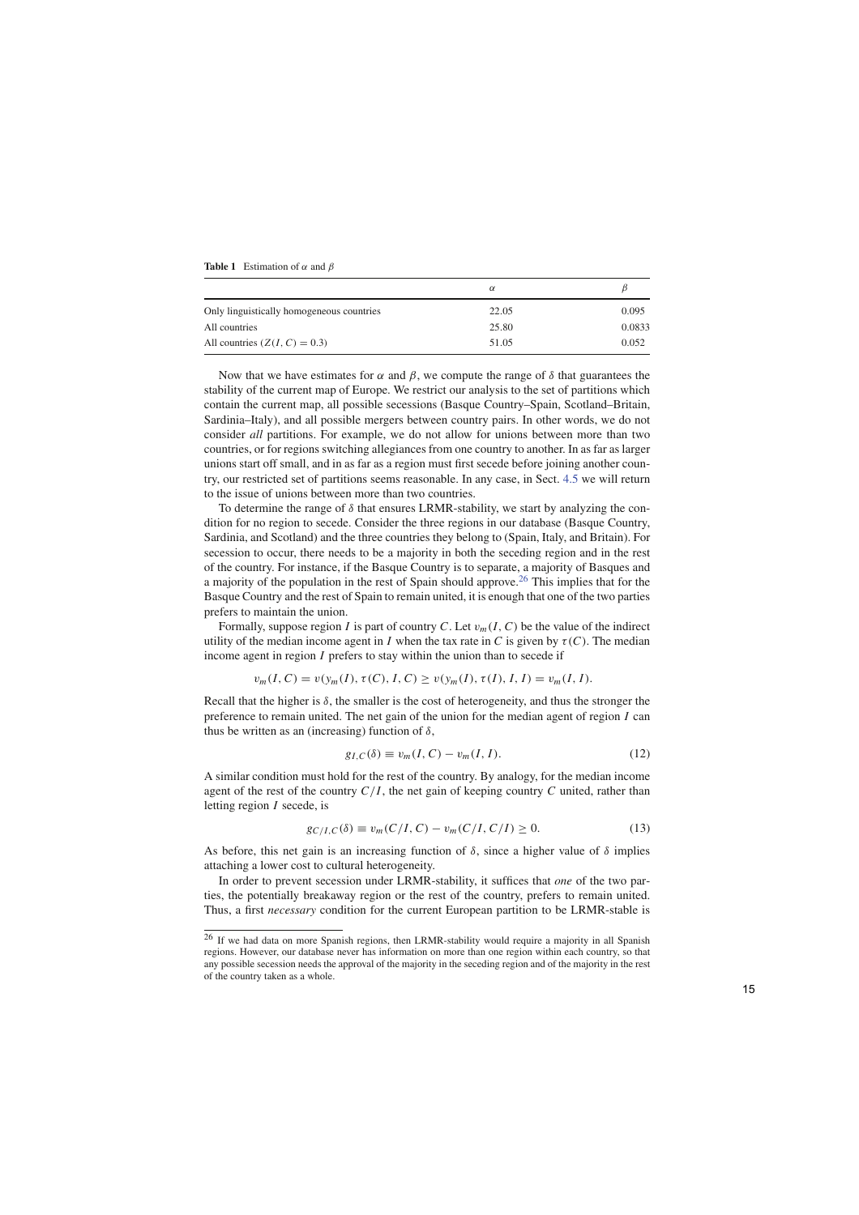| $\alpha$ |        |
|----------|--------|
| 22.05    | 0.095  |
| 25.80    | 0.0833 |
| 51.05    | 0.052  |
|          |        |

**Table 1** Estimation of  $\alpha$  and  $\beta$ 

Now that we have estimates for  $\alpha$  and  $\beta$ , we compute the range of  $\delta$  that guarantees the stability of the current map of Europe. We restrict our analysis to the set of partitions which contain the current map, all possible secessions (Basque Country–Spain, Scotland–Britain, Sardinia–Italy), and all possible mergers between country pairs. In other words, we do not consider *all* partitions. For example, we do not allow for unions between more than two countries, or for regions switching allegiances from one country to another. In as far as larger unions start off small, and in as far as a region must first secede before joining another country, our restricted set of partitions seems reasonable. In any case, in Sect. 4.5 we will return to the issue of unions between more than two countries.

To determine the range of  $\delta$  that ensures LRMR-stability, we start by analyzing the condition for no region to secede. Consider the three regions in our database (Basque Country, Sardinia, and Scotland) and the three countries they belong to (Spain, Italy, and Britain). For secession to occur, there needs to be a majority in both the seceding region and in the rest of the country. For instance, if the Basque Country is to separate, a majority of Basques and a majority of the population in the rest of Spain should approve.<sup>26</sup> This implies that for the Basque Country and the rest of Spain to remain united, it is enough that one of the two parties prefers to maintain the union.

Formally, suppose region *I* is part of country *C*. Let  $v_m(I, C)$  be the value of the indirect utility of the median income agent in *I* when the tax rate in *C* is given by  $\tau(C)$ . The median income agent in region *I* prefers to stay within the union than to secede if

$$
v_m(I, C) = v(y_m(I), \tau(C), I, C) \ge v(y_m(I), \tau(I), I, I) = v_m(I, I).
$$

Recall that the higher is  $\delta$ , the smaller is the cost of heterogeneity, and thus the stronger the preference to remain united. The net gain of the union for the median agent of region *I* can thus be written as an (increasing) function of  $\delta$ ,

$$
g_{I,C}(\delta) \equiv v_m(I,C) - v_m(I,I). \tag{12}
$$

A similar condition must hold for the rest of the country. By analogy, for the median income agent of the rest of the country  $C/I$ , the net gain of keeping country C united, rather than letting region *I* secede, is

$$
g_{C/I,C}(\delta) \equiv v_m(C/I, C) - v_m(C/I, C/I) \ge 0.
$$
 (13)

As before, this net gain is an increasing function of  $\delta$ , since a higher value of  $\delta$  implies attaching a lower cost to cultural heterogeneity.

In order to prevent secession under LRMR-stability, it suffices that *one* of the two parties, the potentially breakaway region or the rest of the country, prefers to remain united. Thus, a first *necessary* condition for the current European partition to be LRMR-stable is

<sup>26</sup> If we had data on more Spanish regions, then LRMR-stability would require a majority in all Spanish regions. However, our database never has information on more than one region within each country, so that any possible secession needs the approval of the majority in the seceding region and of the majority in the rest of the country taken as a whole.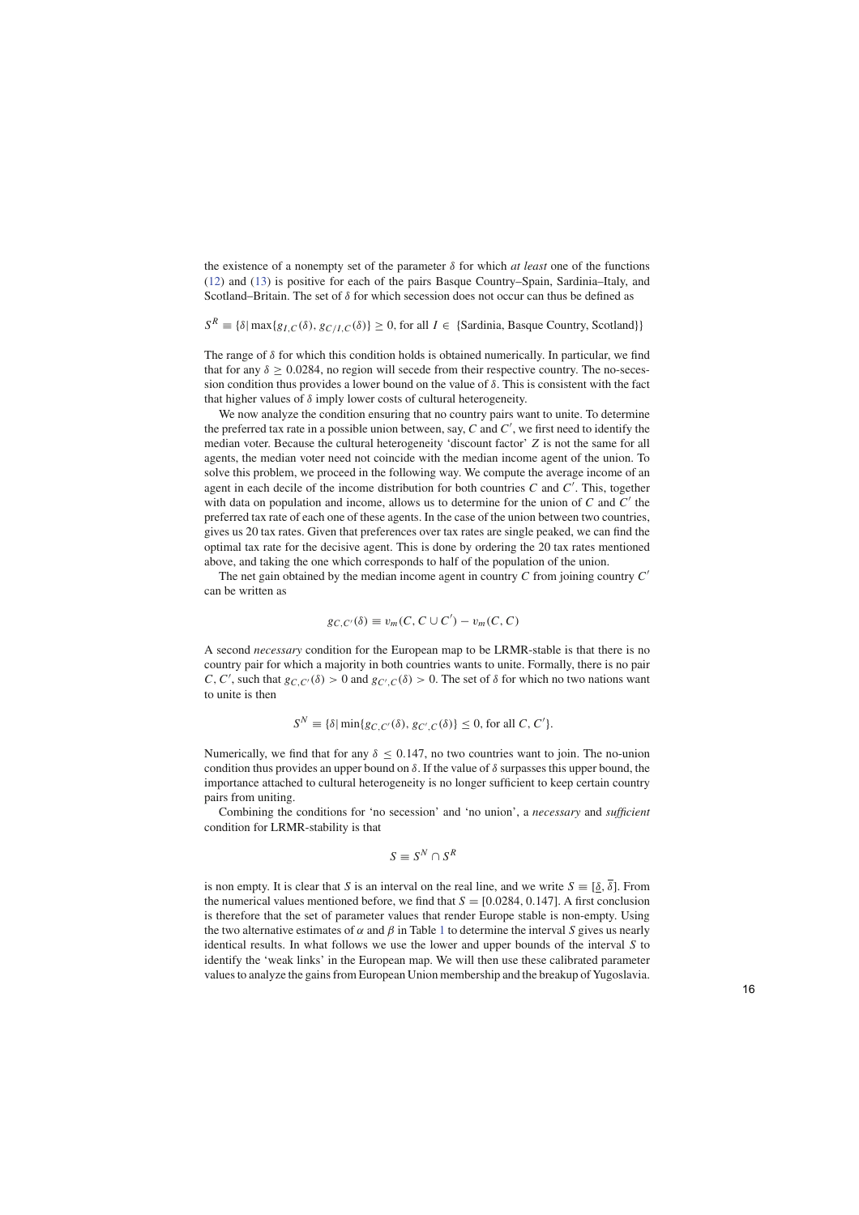the existence of a nonempty set of the parameter  $\delta$  for which *at least* one of the functions (12) and (13) is positive for each of the pairs Basque Country–Spain, Sardinia–Italy, and Scotland–Britain. The set of δ for which secession does not occur can thus be defined as

$$
S^{R} \equiv \{\delta | \max\{g_{I,C}(\delta), g_{C/I,C}(\delta)\} \ge 0, \text{ for all } I \in \{\text{Sardinia, Basque Country, Scotland}\}\
$$

The range of  $\delta$  for which this condition holds is obtained numerically. In particular, we find that for any  $\delta \geq 0.0284$ , no region will secede from their respective country. The no-secession condition thus provides a lower bound on the value of  $\delta$ . This is consistent with the fact that higher values of  $\delta$  imply lower costs of cultural heterogeneity.

We now analyze the condition ensuring that no country pairs want to unite. To determine the preferred tax rate in a possible union between, say, *C* and *C* ′ , we first need to identify the median voter. Because the cultural heterogeneity 'discount factor' *Z* is not the same for all agents, the median voter need not coincide with the median income agent of the union. To solve this problem, we proceed in the following way. We compute the average income of an agent in each decile of the income distribution for both countries *C* and *C* ′ . This, together with data on population and income, allows us to determine for the union of *C* and *C'* the preferred tax rate of each one of these agents. In the case of the union between two countries, gives us 20 tax rates. Given that preferences over tax rates are single peaked, we can find the optimal tax rate for the decisive agent. This is done by ordering the 20 tax rates mentioned above, and taking the one which corresponds to half of the population of the union.

The net gain obtained by the median income agent in country *C* from joining country *C* ′ can be written as

$$
g_{C,C'}(\delta) \equiv v_m(C, C \cup C') - v_m(C, C)
$$

A second *necessary* condition for the European map to be LRMR-stable is that there is no country pair for which a majority in both countries wants to unite. Formally, there is no pair *C*, *C*<sup>'</sup>, such that  $g_{C,C}$ <sup>'</sup>( $\delta$ ) > 0 and  $g_{C,C}$ '( $\delta$ ) > 0. The set of  $\delta$  for which no two nations want to unite is then

$$
S^N \equiv \{ \delta \mid \min \{ g_{C,C'}(\delta), g_{C',C}(\delta) \} \le 0, \text{ for all } C, C' \}.
$$

Numerically, we find that for any  $\delta$  < 0.147, no two countries want to join. The no-union condition thus provides an upper bound on  $\delta$ . If the value of  $\delta$  surpasses this upper bound, the importance attached to cultural heterogeneity is no longer sufficient to keep certain country pairs from uniting.

Combining the conditions for 'no secession' and 'no union', a *necessary* and *sufficient* condition for LRMR-stability is that

$$
S \equiv S^N \cap S^R
$$

is non empty. It is clear that *S* is an interval on the real line, and we write  $S = [\delta, \overline{\delta}]$ . From the numerical values mentioned before, we find that  $S = [0.0284, 0.147]$ . A first conclusion is therefore that the set of parameter values that render Europe stable is non-empty. Using the two alternative estimates of  $\alpha$  and  $\beta$  in Table 1 to determine the interval *S* gives us nearly identical results. In what follows we use the lower and upper bounds of the interval *S* to identify the 'weak links' in the European map. We will then use these calibrated parameter values to analyze the gains from European Union membership and the breakup of Yugoslavia.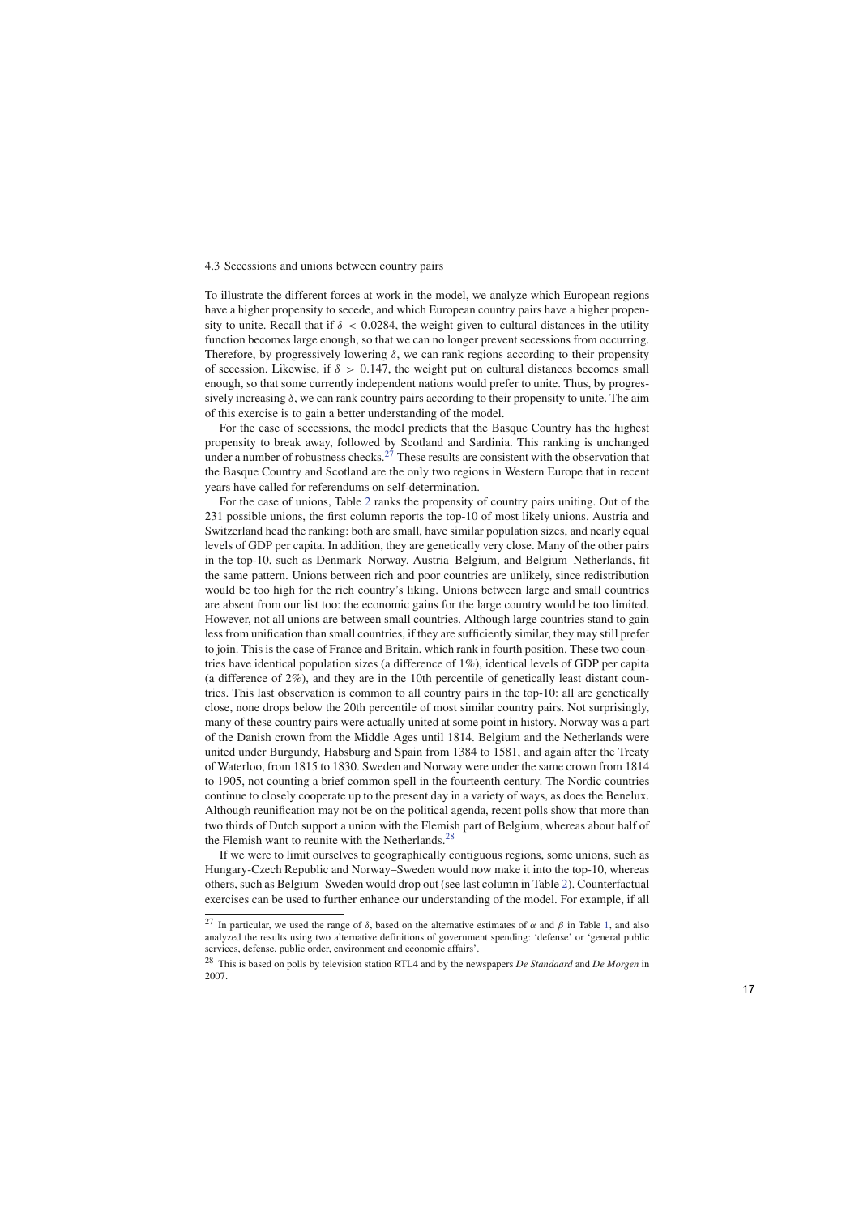#### 4.3 Secessions and unions between country pairs

To illustrate the different forces at work in the model, we analyze which European regions have a higher propensity to secede, and which European country pairs have a higher propensity to unite. Recall that if  $\delta$  < 0.0284, the weight given to cultural distances in the utility function becomes large enough, so that we can no longer prevent secessions from occurring. Therefore, by progressively lowering  $\delta$ , we can rank regions according to their propensity of secession. Likewise, if  $\delta > 0.147$ , the weight put on cultural distances becomes small enough, so that some currently independent nations would prefer to unite. Thus, by progressively increasing  $\delta$ , we can rank country pairs according to their propensity to unite. The aim of this exercise is to gain a better understanding of the model.

For the case of secessions, the model predicts that the Basque Country has the highest propensity to break away, followed by Scotland and Sardinia. This ranking is unchanged under a number of robustness checks.<sup>27</sup> These results are consistent with the observation that the Basque Country and Scotland are the only two regions in Western Europe that in recent years have called for referendums on self-determination.

For the case of unions, Table 2 ranks the propensity of country pairs uniting. Out of the 231 possible unions, the first column reports the top-10 of most likely unions. Austria and Switzerland head the ranking: both are small, have similar population sizes, and nearly equal levels of GDP per capita. In addition, they are genetically very close. Many of the other pairs in the top-10, such as Denmark–Norway, Austria–Belgium, and Belgium–Netherlands, fit the same pattern. Unions between rich and poor countries are unlikely, since redistribution would be too high for the rich country's liking. Unions between large and small countries are absent from our list too: the economic gains for the large country would be too limited. However, not all unions are between small countries. Although large countries stand to gain less from unification than small countries, if they are sufficiently similar, they may still prefer to join. This is the case of France and Britain, which rank in fourth position. These two countries have identical population sizes (a difference of 1%), identical levels of GDP per capita (a difference of 2%), and they are in the 10th percentile of genetically least distant countries. This last observation is common to all country pairs in the top-10: all are genetically close, none drops below the 20th percentile of most similar country pairs. Not surprisingly, many of these country pairs were actually united at some point in history. Norway was a part of the Danish crown from the Middle Ages until 1814. Belgium and the Netherlands were united under Burgundy, Habsburg and Spain from 1384 to 1581, and again after the Treaty of Waterloo, from 1815 to 1830. Sweden and Norway were under the same crown from 1814 to 1905, not counting a brief common spell in the fourteenth century. The Nordic countries continue to closely cooperate up to the present day in a variety of ways, as does the Benelux. Although reunification may not be on the political agenda, recent polls show that more than two thirds of Dutch support a union with the Flemish part of Belgium, whereas about half of the Flemish want to reunite with the Netherlands. $^{28}$ 

If we were to limit ourselves to geographically contiguous regions, some unions, such as Hungary-Czech Republic and Norway–Sweden would now make it into the top-10, whereas others, such as Belgium–Sweden would drop out (see last column in Table 2). Counterfactual exercises can be used to further enhance our understanding of the model. For example, if all

<sup>&</sup>lt;sup>27</sup> In particular, we used the range of δ, based on the alternative estimates of α and β in Table 1, and also analyzed the results using two alternative definitions of government spending: 'defense' or 'general public services, defense, public order, environment and economic affairs'.

<sup>28</sup> This is based on polls by television station RTL4 and by the newspapers *De Standaard* and *De Morgen* in 2007.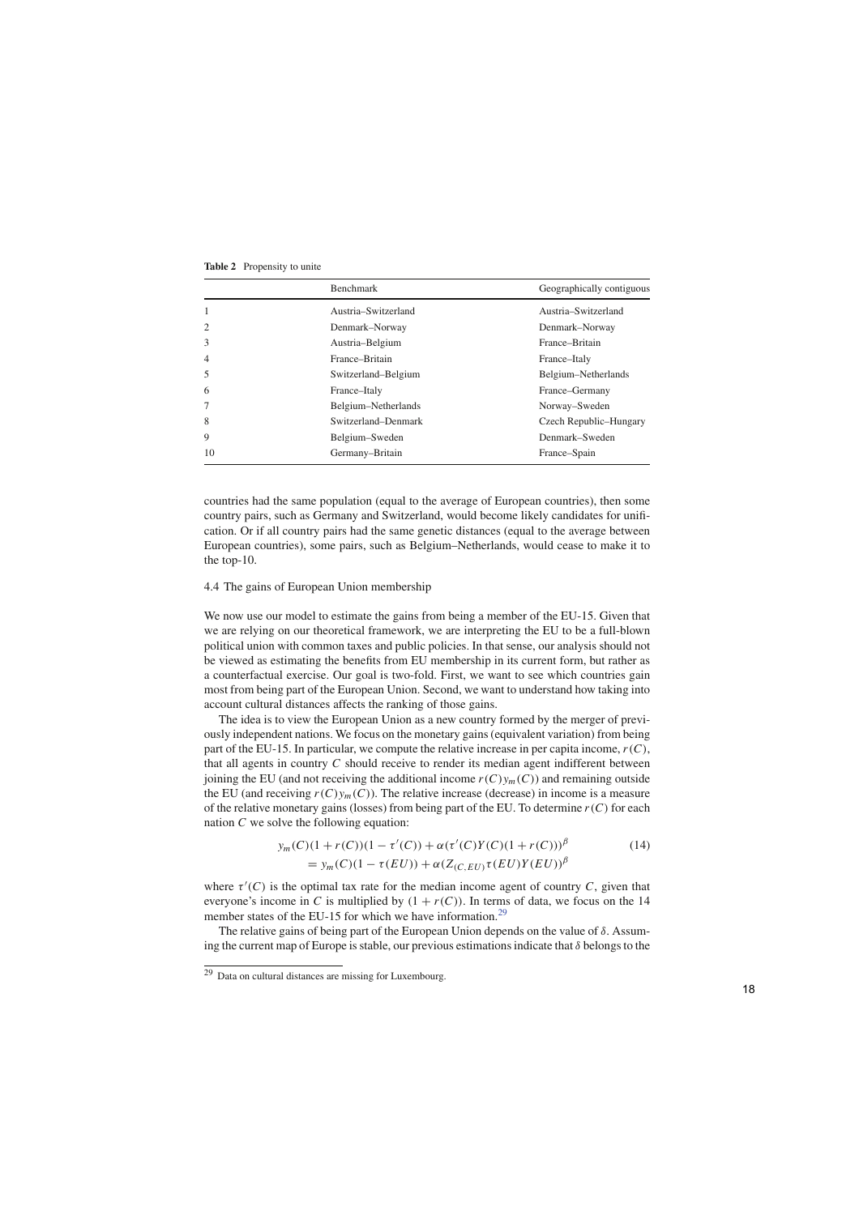|    | <b>Benchmark</b>    | Geographically contiguous |
|----|---------------------|---------------------------|
|    | Austria-Switzerland | Austria-Switzerland       |
|    | Denmark-Norway      | Denmark-Norway            |
| 3  | Austria-Belgium     | France-Britain            |
| 4  | France-Britain      | France-Italy              |
|    | Switzerland-Belgium | Belgium–Netherlands       |
| 6  | France-Italy        | France-Germany            |
|    | Belgium-Netherlands | Norway-Sweden             |
| 8  | Switzerland-Denmark | Czech Republic–Hungary    |
| 9  | Belgium-Sweden      | Denmark-Sweden            |
| 10 | Germany-Britain     | France-Spain              |

**Table 2** Propensity to unite

countries had the same population (equal to the average of European countries), then some country pairs, such as Germany and Switzerland, would become likely candidates for unification. Or if all country pairs had the same genetic distances (equal to the average between European countries), some pairs, such as Belgium–Netherlands, would cease to make it to the top-10.

### 4.4 The gains of European Union membership

We now use our model to estimate the gains from being a member of the EU-15. Given that we are relying on our theoretical framework, we are interpreting the EU to be a full-blown political union with common taxes and public policies. In that sense, our analysis should not be viewed as estimating the benefits from EU membership in its current form, but rather as a counterfactual exercise. Our goal is two-fold. First, we want to see which countries gain most from being part of the European Union. Second, we want to understand how taking into account cultural distances affects the ranking of those gains.

The idea is to view the European Union as a new country formed by the merger of previously independent nations. We focus on the monetary gains (equivalent variation) from being part of the EU-15. In particular, we compute the relative increase in per capita income,  $r(C)$ , that all agents in country *C* should receive to render its median agent indifferent between joining the EU (and not receiving the additional income  $r(C)y_m(C)$ ) and remaining outside the EU (and receiving  $r(C)y_m(C)$ ). The relative increase (decrease) in income is a measure of the relative monetary gains (losses) from being part of the EU. To determine  $r(C)$  for each nation *C* we solve the following equation:

$$
y_m(C)(1 + r(C))(1 - \tau'(C)) + \alpha(\tau'(C)Y(C)(1 + r(C)))^{\beta}
$$
  
= 
$$
y_m(C)(1 - \tau(EU)) + \alpha(Z_{(C, EU)}\tau(EU)Y(EU))^{\beta}
$$
 (14)

where  $\tau'(C)$  is the optimal tax rate for the median income agent of country *C*, given that everyone's income in *C* is multiplied by  $(1 + r(C))$ . In terms of data, we focus on the 14 member states of the EU-15 for which we have information.<sup>29</sup>

The relative gains of being part of the European Union depends on the value of  $\delta$ . Assuming the current map of Europe is stable, our previous estimations indicate that  $\delta$  belongs to the

 $\overline{29}$  Data on cultural distances are missing for Luxembourg.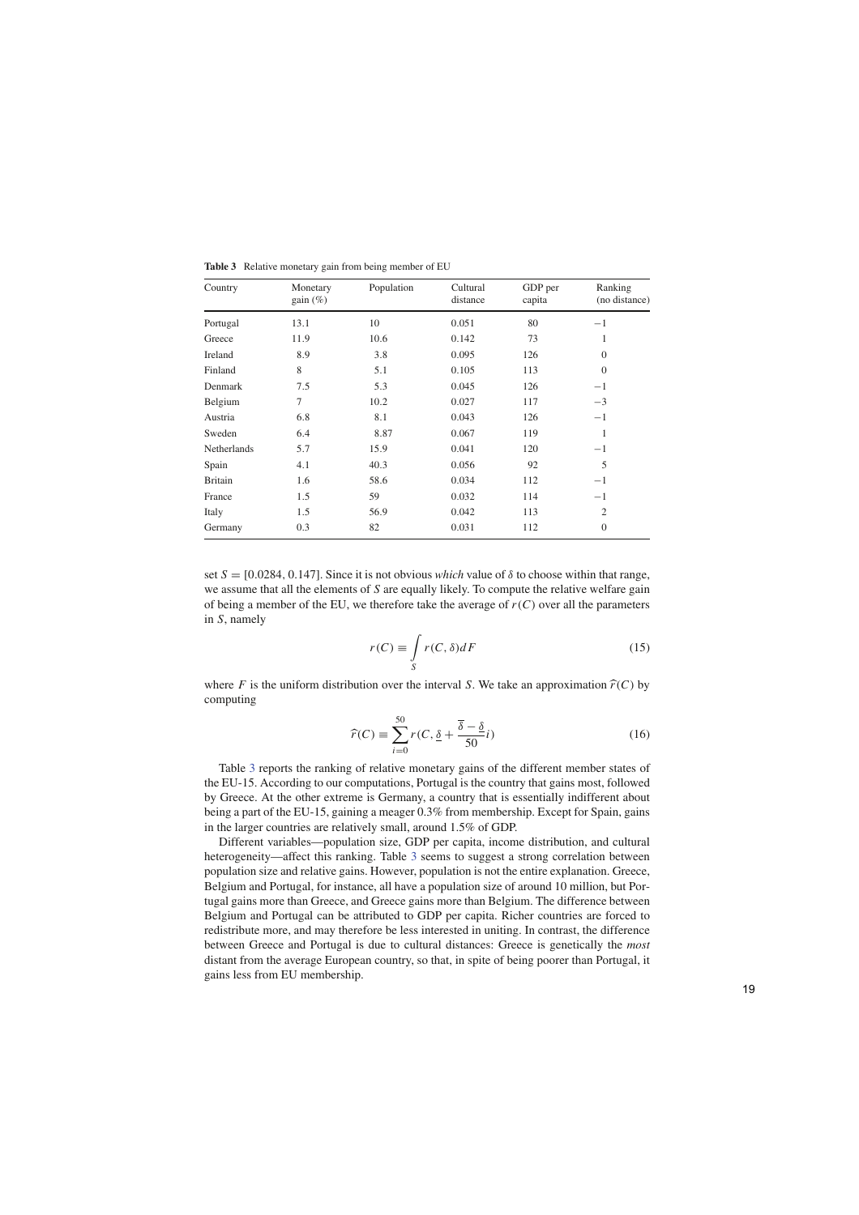| Country            | Monetary<br>gain $(\%)$ | Population | Cultural<br>distance | GDP per<br>capita | Ranking<br>(no distance) |
|--------------------|-------------------------|------------|----------------------|-------------------|--------------------------|
| Portugal           | 13.1                    | 10         | 0.051                | 80                | $-1$                     |
| Greece             | 11.9                    | 10.6       | 0.142                | 73                | 1                        |
| Ireland            | 8.9                     | 3.8        | 0.095                | 126               | $\Omega$                 |
| Finland            | 8                       | 5.1        | 0.105                | 113               | $\Omega$                 |
| Denmark            | 7.5                     | 5.3        | 0.045                | 126               | $-1$                     |
| Belgium            | $\overline{7}$          | 10.2       | 0.027                | 117               | $-3$                     |
| Austria            | 6.8                     | 8.1        | 0.043                | 126               | $-1$                     |
| Sweden             | 6.4                     | 8.87       | 0.067                | 119               | 1                        |
| <b>Netherlands</b> | 5.7                     | 15.9       | 0.041                | 120               | $-1$                     |
| Spain              | 4.1                     | 40.3       | 0.056                | 92                | 5                        |
| <b>Britain</b>     | 1.6                     | 58.6       | 0.034                | 112               | $-1$                     |
| France             | 1.5                     | 59         | 0.032                | 114               | $-1$                     |
| Italy              | 1.5                     | 56.9       | 0.042                | 113               | $\overline{c}$           |
| Germany            | 0.3                     | 82         | 0.031                | 112               | $\mathbf{0}$             |

**Table 3** Relative monetary gain from being member of EU

set  $S = [0.0284, 0.147]$ . Since it is not obvious *which* value of  $\delta$  to choose within that range, we assume that all the elements of *S* are equally likely. To compute the relative welfare gain of being a member of the EU, we therefore take the average of  $r(C)$  over all the parameters in *S*, namely

$$
r(C) \equiv \int_{S} r(C, \delta) dF \tag{15}
$$

where *F* is the uniform distribution over the interval *S*. We take an approximation  $\hat{r}(C)$  by computing

$$
\widehat{r}(C) \equiv \sum_{i=0}^{50} r(C, \underline{\delta} + \frac{\overline{\delta} - \underline{\delta}}{50}i)
$$
\n(16)

Table 3 reports the ranking of relative monetary gains of the different member states of the EU-15. According to our computations, Portugal is the country that gains most, followed by Greece. At the other extreme is Germany, a country that is essentially indifferent about being a part of the EU-15, gaining a meager 0.3% from membership. Except for Spain, gains in the larger countries are relatively small, around 1.5% of GDP.

Different variables—population size, GDP per capita, income distribution, and cultural heterogeneity—affect this ranking. Table 3 seems to suggest a strong correlation between population size and relative gains. However, population is not the entire explanation. Greece, Belgium and Portugal, for instance, all have a population size of around 10 million, but Portugal gains more than Greece, and Greece gains more than Belgium. The difference between Belgium and Portugal can be attributed to GDP per capita. Richer countries are forced to redistribute more, and may therefore be less interested in uniting. In contrast, the difference between Greece and Portugal is due to cultural distances: Greece is genetically the *most* distant from the average European country, so that, in spite of being poorer than Portugal, it gains less from EU membership.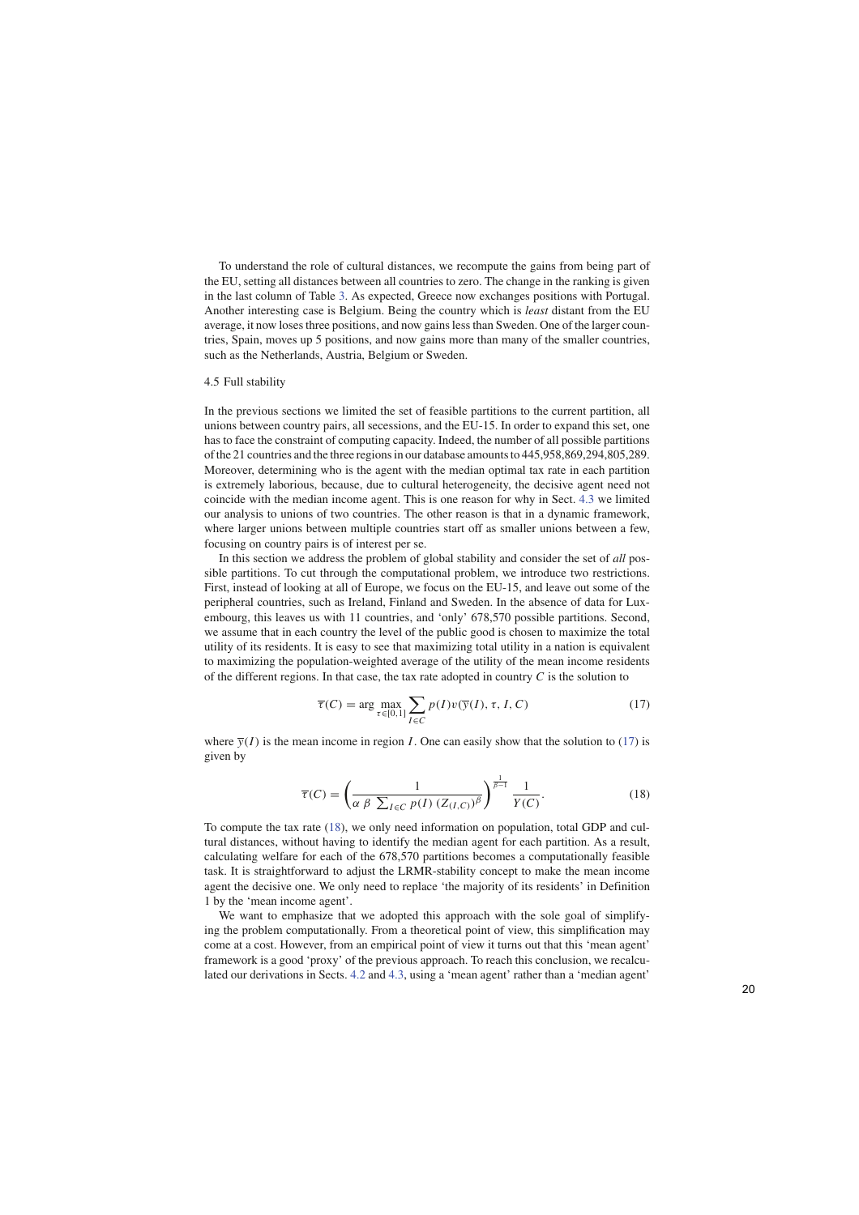To understand the role of cultural distances, we recompute the gains from being part of the EU, setting all distances between all countries to zero. The change in the ranking is given in the last column of Table 3. As expected, Greece now exchanges positions with Portugal. Another interesting case is Belgium. Being the country which is *least* distant from the EU average, it now loses three positions, and now gains less than Sweden. One of the larger countries, Spain, moves up 5 positions, and now gains more than many of the smaller countries, such as the Netherlands, Austria, Belgium or Sweden.

### 4.5 Full stability

In the previous sections we limited the set of feasible partitions to the current partition, all unions between country pairs, all secessions, and the EU-15. In order to expand this set, one has to face the constraint of computing capacity. Indeed, the number of all possible partitions of the 21 countries and the three regions in our database amounts to 445,958,869,294,805,289. Moreover, determining who is the agent with the median optimal tax rate in each partition is extremely laborious, because, due to cultural heterogeneity, the decisive agent need not coincide with the median income agent. This is one reason for why in Sect. 4.3 we limited our analysis to unions of two countries. The other reason is that in a dynamic framework, where larger unions between multiple countries start off as smaller unions between a few, focusing on country pairs is of interest per se.

In this section we address the problem of global stability and consider the set of *all* possible partitions. To cut through the computational problem, we introduce two restrictions. First, instead of looking at all of Europe, we focus on the EU-15, and leave out some of the peripheral countries, such as Ireland, Finland and Sweden. In the absence of data for Luxembourg, this leaves us with 11 countries, and 'only' 678,570 possible partitions. Second, we assume that in each country the level of the public good is chosen to maximize the total utility of its residents. It is easy to see that maximizing total utility in a nation is equivalent to maximizing the population-weighted average of the utility of the mean income residents of the different regions. In that case, the tax rate adopted in country  $C$  is the solution to

$$
\overline{\tau}(C) = \arg \max_{\tau \in [0,1]} \sum_{I \in C} p(I) \nu(\overline{\mathbf{y}}(I), \tau, I, C)
$$
\n(17)

where  $\overline{y}(I)$  is the mean income in region *I*. One can easily show that the solution to (17) is given by

$$
\overline{\tau}(C) = \left(\frac{1}{\alpha \beta \sum_{I \in C} p(I) (Z_{(I,C)})^{\beta}}\right)^{\frac{1}{\beta-1}} \frac{1}{Y(C)}.
$$
\n(18)

To compute the tax rate (18), we only need information on population, total GDP and cultural distances, without having to identify the median agent for each partition. As a result, calculating welfare for each of the 678,570 partitions becomes a computationally feasible task. It is straightforward to adjust the LRMR-stability concept to make the mean income agent the decisive one. We only need to replace 'the majority of its residents' in Definition 1 by the 'mean income agent'.

We want to emphasize that we adopted this approach with the sole goal of simplifying the problem computationally. From a theoretical point of view, this simplification may come at a cost. However, from an empirical point of view it turns out that this 'mean agent' framework is a good 'proxy' of the previous approach. To reach this conclusion, we recalculated our derivations in Sects. 4.2 and 4.3, using a 'mean agent' rather than a 'median agent'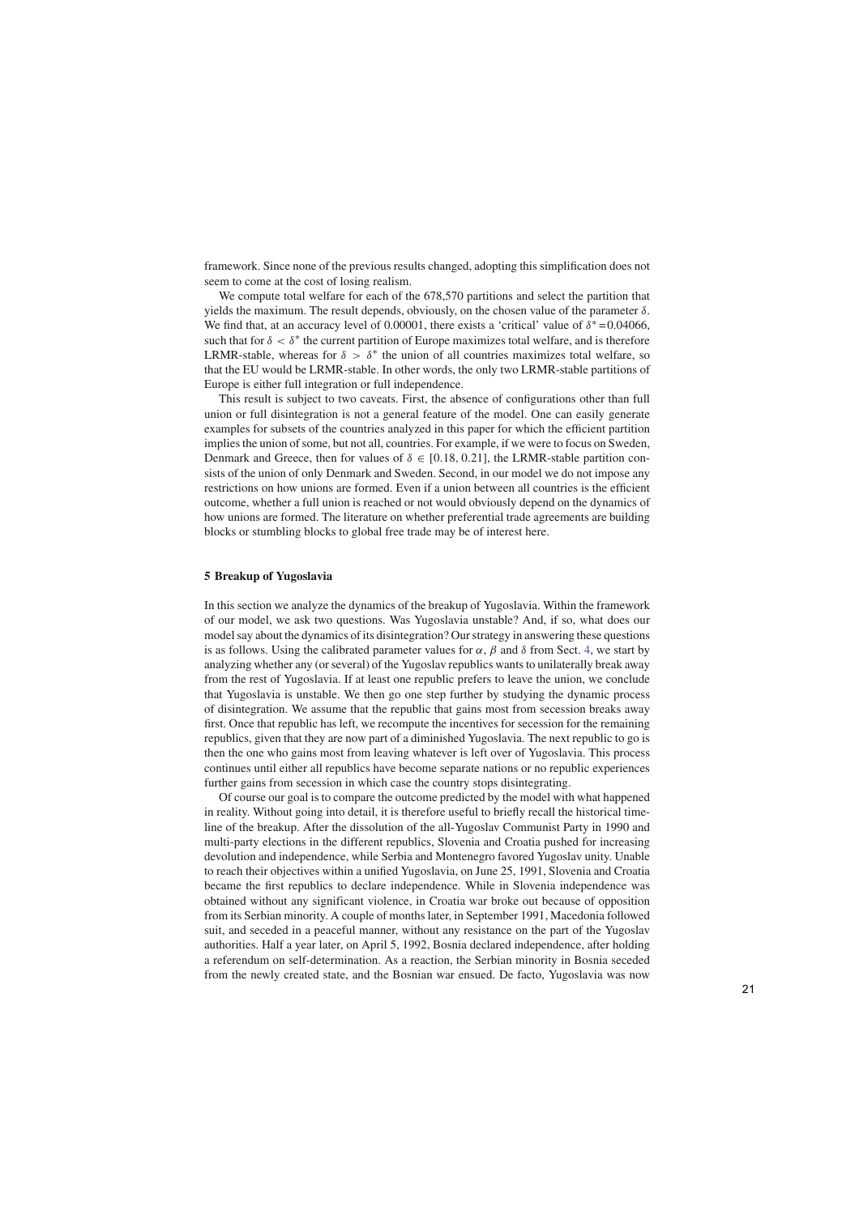framework. Since none of the previous results changed, adopting this simplification does not seem to come at the cost of losing realism.

We compute total welfare for each of the 678,570 partitions and select the partition that yields the maximum. The result depends, obviously, on the chosen value of the parameter δ. We find that, at an accuracy level of 0.00001, there exists a 'critical' value of  $\delta^* = 0.04066$ , such that for  $\delta < \delta^*$  the current partition of Europe maximizes total welfare, and is therefore LRMR-stable, whereas for  $\delta > \delta^*$  the union of all countries maximizes total welfare, so that the EU would be LRMR-stable. In other words, the only two LRMR-stable partitions of Europe is either full integration or full independence.

This result is subject to two caveats. First, the absence of configurations other than full union or full disintegration is not a general feature of the model. One can easily generate examples for subsets of the countries analyzed in this paper for which the efficient partition implies the union of some, but not all, countries. For example, if we were to focus on Sweden, Denmark and Greece, then for values of  $\delta \in [0.18, 0.21]$ , the LRMR-stable partition consists of the union of only Denmark and Sweden. Second, in our model we do not impose any restrictions on how unions are formed. Even if a union between all countries is the efficient outcome, whether a full union is reached or not would obviously depend on the dynamics of how unions are formed. The literature on whether preferential trade agreements are building blocks or stumbling blocks to global free trade may be of interest here.

### **5 Breakup of Yugoslavia**

In this section we analyze the dynamics of the breakup of Yugoslavia. Within the framework of our model, we ask two questions. Was Yugoslavia unstable? And, if so, what does our model say about the dynamics of its disintegration? Our strategy in answering these questions is as follows. Using the calibrated parameter values for  $\alpha$ ,  $\beta$  and  $\delta$  from Sect. 4, we start by analyzing whether any (or several) of the Yugoslav republics wants to unilaterally break away from the rest of Yugoslavia. If at least one republic prefers to leave the union, we conclude that Yugoslavia is unstable. We then go one step further by studying the dynamic process of disintegration. We assume that the republic that gains most from secession breaks away first. Once that republic has left, we recompute the incentives for secession for the remaining republics, given that they are now part of a diminished Yugoslavia. The next republic to go is then the one who gains most from leaving whatever is left over of Yugoslavia. This process continues until either all republics have become separate nations or no republic experiences further gains from secession in which case the country stops disintegrating.

Of course our goal is to compare the outcome predicted by the model with what happened in reality. Without going into detail, it is therefore useful to briefly recall the historical timeline of the breakup. After the dissolution of the all-Yugoslav Communist Party in 1990 and multi-party elections in the different republics, Slovenia and Croatia pushed for increasing devolution and independence, while Serbia and Montenegro favored Yugoslav unity. Unable to reach their objectives within a unified Yugoslavia, on June 25, 1991, Slovenia and Croatia became the first republics to declare independence. While in Slovenia independence was obtained without any significant violence, in Croatia war broke out because of opposition from its Serbian minority. A couple of months later, in September 1991, Macedonia followed suit, and seceded in a peaceful manner, without any resistance on the part of the Yugoslav authorities. Half a year later, on April 5, 1992, Bosnia declared independence, after holding a referendum on self-determination. As a reaction, the Serbian minority in Bosnia seceded from the newly created state, and the Bosnian war ensued. De facto, Yugoslavia was now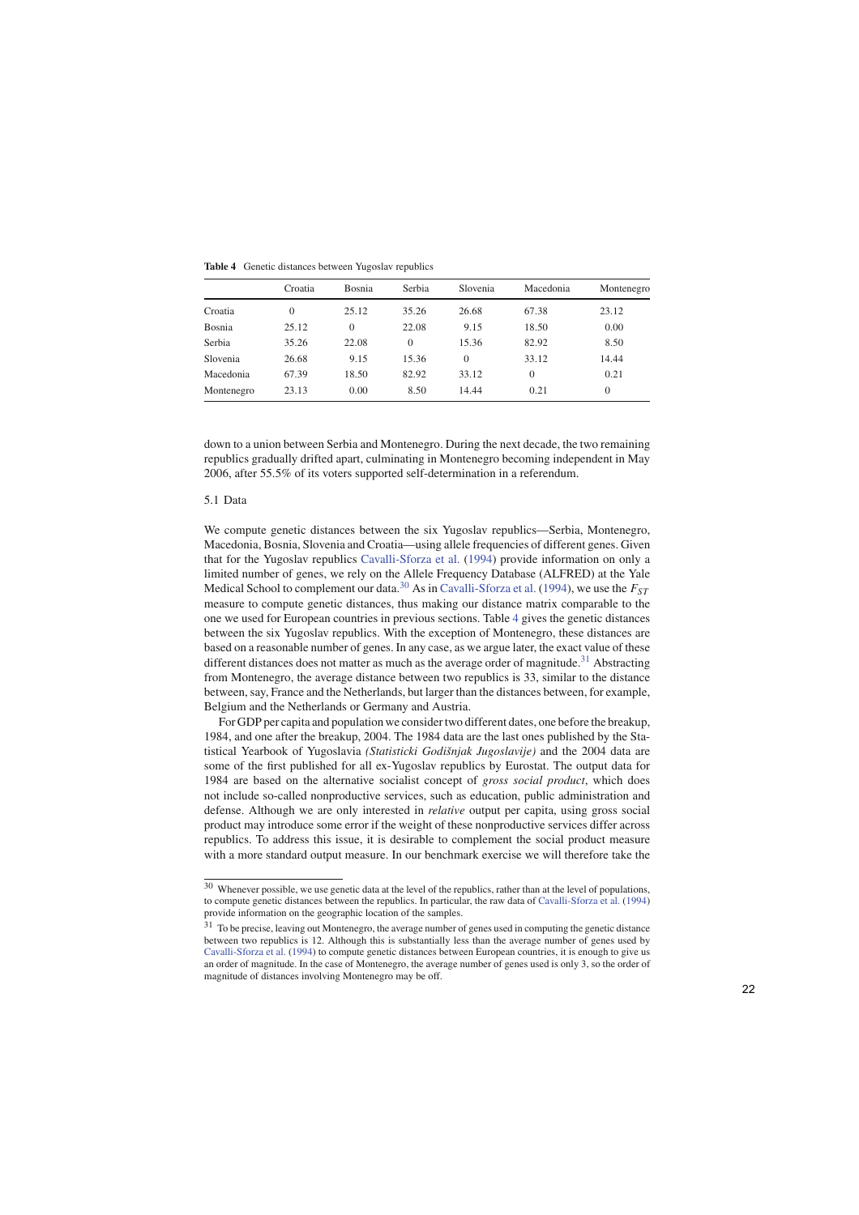**Table 4** Genetic distances between Yugoslav republics

|            | Croatia | Bosnia   | Serbia   | Slovenia | Macedonia | Montenegro   |
|------------|---------|----------|----------|----------|-----------|--------------|
| Croatia    | 0       | 25.12    | 35.26    | 26.68    | 67.38     | 23.12        |
| Bosnia     | 25.12   | $\Omega$ | 22.08    | 9.15     | 18.50     | 0.00         |
| Serbia     | 35.26   | 22.08    | $\Omega$ | 15.36    | 82.92     | 8.50         |
| Slovenia   | 26.68   | 9.15     | 15.36    | $\Omega$ | 33.12     | 14.44        |
| Macedonia  | 67.39   | 18.50    | 82.92    | 33.12    | $\Omega$  | 0.21         |
| Montenegro | 23.13   | 0.00     | 8.50     | 14.44    | 0.21      | $\mathbf{0}$ |

down to a union between Serbia and Montenegro. During the next decade, the two remaining republics gradually drifted apart, culminating in Montenegro becoming independent in May 2006, after 55.5% of its voters supported self-determination in a referendum.

#### 5.1 Data

We compute genetic distances between the six Yugoslav republics—Serbia, Montenegro, Macedonia, Bosnia, Slovenia and Croatia—using allele frequencies of different genes. Given that for the Yugoslav republics Cavalli-Sforza et al. (1994) provide information on only a limited number of genes, we rely on the Allele Frequency Database (ALFRED) at the Yale Medical School to complement our data.<sup>30</sup> As in Cavalli-Sforza et al. (1994), we use the *FST* measure to compute genetic distances, thus making our distance matrix comparable to the one we used for European countries in previous sections. Table 4 gives the genetic distances between the six Yugoslav republics. With the exception of Montenegro, these distances are based on a reasonable number of genes. In any case, as we argue later, the exact value of these different distances does not matter as much as the average order of magnitude.<sup>31</sup> Abstracting from Montenegro, the average distance between two republics is 33, similar to the distance between, say, France and the Netherlands, but larger than the distances between, for example, Belgium and the Netherlands or Germany and Austria.

For GDP per capita and population we consider two different dates, one before the breakup, 1984, and one after the breakup, 2004. The 1984 data are the last ones published by the Statistical Yearbook of Yugoslavia *(Statisticki Godišnjak Jugoslavije)* and the 2004 data are some of the first published for all ex-Yugoslav republics by Eurostat. The output data for 1984 are based on the alternative socialist concept of *gross social product*, which does not include so-called nonproductive services, such as education, public administration and defense. Although we are only interested in *relative* output per capita, using gross social product may introduce some error if the weight of these nonproductive services differ across republics. To address this issue, it is desirable to complement the social product measure with a more standard output measure. In our benchmark exercise we will therefore take the

<sup>30</sup> Whenever possible, we use genetic data at the level of the republics, rather than at the level of populations, to compute genetic distances between the republics. In particular, the raw data of Cavalli-Sforza et al. (1994) provide information on the geographic location of the samples.

<sup>&</sup>lt;sup>31</sup> To be precise, leaving out Montenegro, the average number of genes used in computing the genetic distance between two republics is 12. Although this is substantially less than the average number of genes used by Cavalli-Sforza et al. (1994) to compute genetic distances between European countries, it is enough to give us an order of magnitude. In the case of Montenegro, the average number of genes used is only 3, so the order of magnitude of distances involving Montenegro may be off.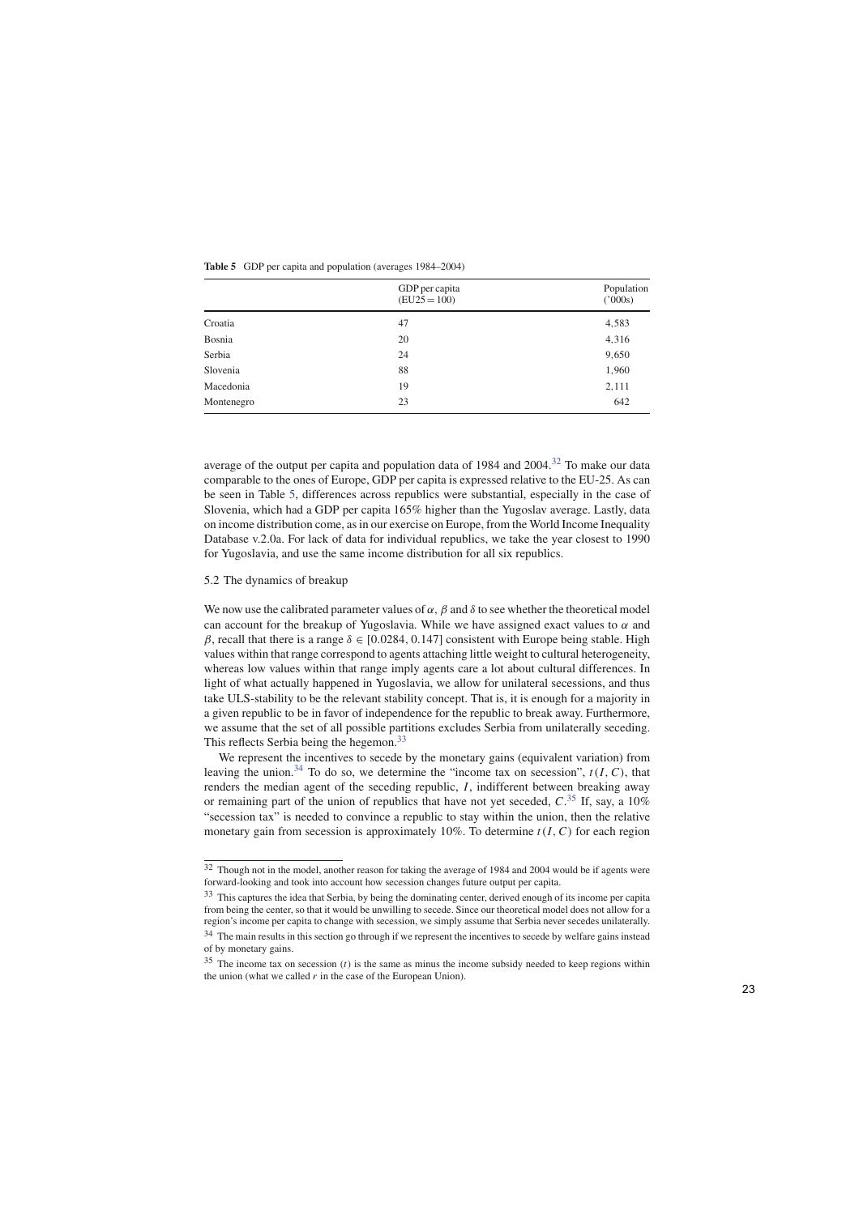| <b>Table 5</b> GDP per capita and population (averages 1984–2004) |  |  |
|-------------------------------------------------------------------|--|--|
|-------------------------------------------------------------------|--|--|

| GDP per capita<br>$(EU25 = 100)$ | Population<br>(2000s) |
|----------------------------------|-----------------------|
| 47                               | 4,583                 |
| 20                               | 4,316                 |
| 24                               | 9,650                 |
| 88                               | 1,960                 |
| 19                               | 2,111                 |
| 23                               | 642                   |
|                                  |                       |

average of the output per capita and population data of 1984 and 2004.<sup>32</sup> To make our data comparable to the ones of Europe, GDP per capita is expressed relative to the EU-25. As can be seen in Table 5, differences across republics were substantial, especially in the case of Slovenia, which had a GDP per capita 165% higher than the Yugoslav average. Lastly, data on income distribution come, as in our exercise on Europe, from the World Income Inequality Database v.2.0a. For lack of data for individual republics, we take the year closest to 1990 for Yugoslavia, and use the same income distribution for all six republics.

#### 5.2 The dynamics of breakup

We now use the calibrated parameter values of  $\alpha$ ,  $\beta$  and  $\delta$  to see whether the theoretical model can account for the breakup of Yugoslavia. While we have assigned exact values to  $\alpha$  and β, recall that there is a range  $\delta \in [0.0284, 0.147]$  consistent with Europe being stable. High values within that range correspond to agents attaching little weight to cultural heterogeneity, whereas low values within that range imply agents care a lot about cultural differences. In light of what actually happened in Yugoslavia, we allow for unilateral secessions, and thus take ULS-stability to be the relevant stability concept. That is, it is enough for a majority in a given republic to be in favor of independence for the republic to break away. Furthermore, we assume that the set of all possible partitions excludes Serbia from unilaterally seceding. This reflects Serbia being the hegemon.<sup>33</sup>

We represent the incentives to secede by the monetary gains (equivalent variation) from leaving the union.<sup>34</sup> To do so, we determine the "income tax on secession",  $t(I, C)$ , that renders the median agent of the seceding republic, *I*, indifferent between breaking away or remaining part of the union of republics that have not yet seceded, *C*. <sup>35</sup> If, say, a 10% "secession tax" is needed to convince a republic to stay within the union, then the relative monetary gain from secession is approximately 10%. To determine  $t(I, C)$  for each region

<sup>&</sup>lt;sup>32</sup> Though not in the model, another reason for taking the average of 1984 and 2004 would be if agents were forward-looking and took into account how secession changes future output per capita.

<sup>&</sup>lt;sup>33</sup> This captures the idea that Serbia, by being the dominating center, derived enough of its income per capita from being the center, so that it would be unwilling to secede. Since our theoretical model does not allow for a region's income per capita to change with secession, we simply assume that Serbia never secedes unilaterally.

<sup>&</sup>lt;sup>34</sup> The main results in this section go through if we represent the incentives to secede by welfare gains instead of by monetary gains.

 $35$  The income tax on secession (*t*) is the same as minus the income subsidy needed to keep regions within the union (what we called *r* in the case of the European Union).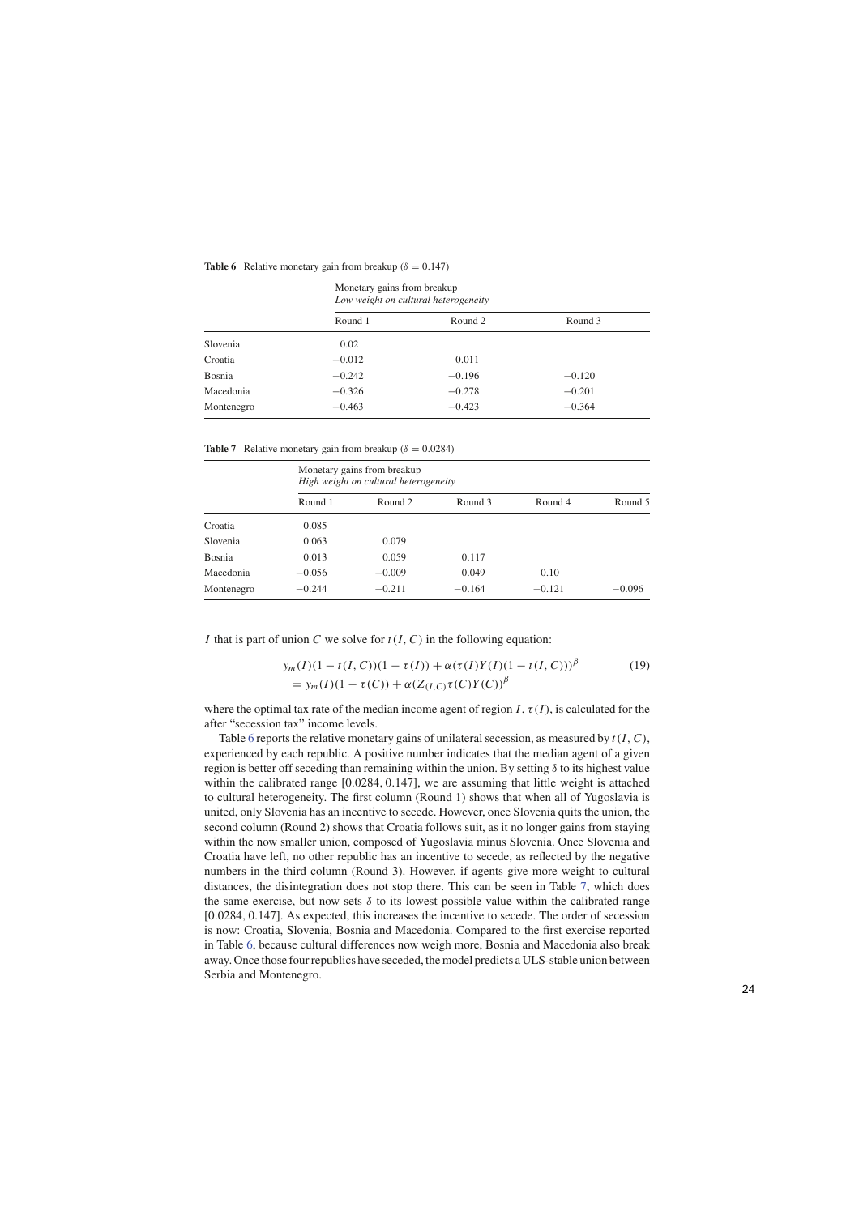**Table 6** Relative monetary gain from breakup ( $\delta = 0.147$ )

|            | Monetary gains from breakup | Low weight on cultural heterogeneity |          |
|------------|-----------------------------|--------------------------------------|----------|
|            | Round 1                     | Round 2                              | Round 3  |
| Slovenia   | 0.02                        |                                      |          |
| Croatia    | $-0.012$                    | 0.011                                |          |
| Bosnia     | $-0.242$                    | $-0.196$                             | $-0.120$ |
| Macedonia  | $-0.326$                    | $-0.278$                             | $-0.201$ |
| Montenegro | $-0.463$                    | $-0.423$                             | $-0.364$ |

|  | <b>Table 7</b> Relative monetary gain from breakup ( $\delta = 0.0284$ ) |  |  |  |
|--|--------------------------------------------------------------------------|--|--|--|
|--|--------------------------------------------------------------------------|--|--|--|

|            |          | Monetary gains from breakup<br>High weight on cultural heterogeneity |          |          |          |
|------------|----------|----------------------------------------------------------------------|----------|----------|----------|
|            | Round 1  | Round 2                                                              | Round 3  | Round 4  | Round 5  |
| Croatia    | 0.085    |                                                                      |          |          |          |
| Slovenia   | 0.063    | 0.079                                                                |          |          |          |
| Bosnia     | 0.013    | 0.059                                                                | 0.117    |          |          |
| Macedonia  | $-0.056$ | $-0.009$                                                             | 0.049    | 0.10     |          |
| Montenegro | $-0.244$ | $-0.211$                                                             | $-0.164$ | $-0.121$ | $-0.096$ |

*I* that is part of union *C* we solve for *t*(*I*,*C*) in the following equation:

$$
y_m(I)(1 - t(I, C))(1 - \tau(I)) + \alpha(\tau(I)Y(I)(1 - t(I, C)))^{\beta}
$$
  
= 
$$
y_m(I)(1 - \tau(C)) + \alpha(Z_{(I, C)}\tau(C)Y(C))^{\beta}
$$
 (19)

where the optimal tax rate of the median income agent of region  $I, \tau(I)$ , is calculated for the after "secession tax" income levels.

Table 6 reports the relative monetary gains of unilateral secession, as measured by  $t(I, C)$ , experienced by each republic. A positive number indicates that the median agent of a given region is better off seceding than remaining within the union. By setting  $\delta$  to its highest value within the calibrated range [0.0284, 0.147], we are assuming that little weight is attached to cultural heterogeneity. The first column (Round 1) shows that when all of Yugoslavia is united, only Slovenia has an incentive to secede. However, once Slovenia quits the union, the second column (Round 2) shows that Croatia follows suit, as it no longer gains from staying within the now smaller union, composed of Yugoslavia minus Slovenia. Once Slovenia and Croatia have left, no other republic has an incentive to secede, as reflected by the negative numbers in the third column (Round 3). However, if agents give more weight to cultural distances, the disintegration does not stop there. This can be seen in Table 7, which does the same exercise, but now sets  $\delta$  to its lowest possible value within the calibrated range [0.0284, 0.147]. As expected, this increases the incentive to secede. The order of secession is now: Croatia, Slovenia, Bosnia and Macedonia. Compared to the first exercise reported in Table 6, because cultural differences now weigh more, Bosnia and Macedonia also break away. Once those four republics have seceded, the model predicts a ULS-stable union between Serbia and Montenegro.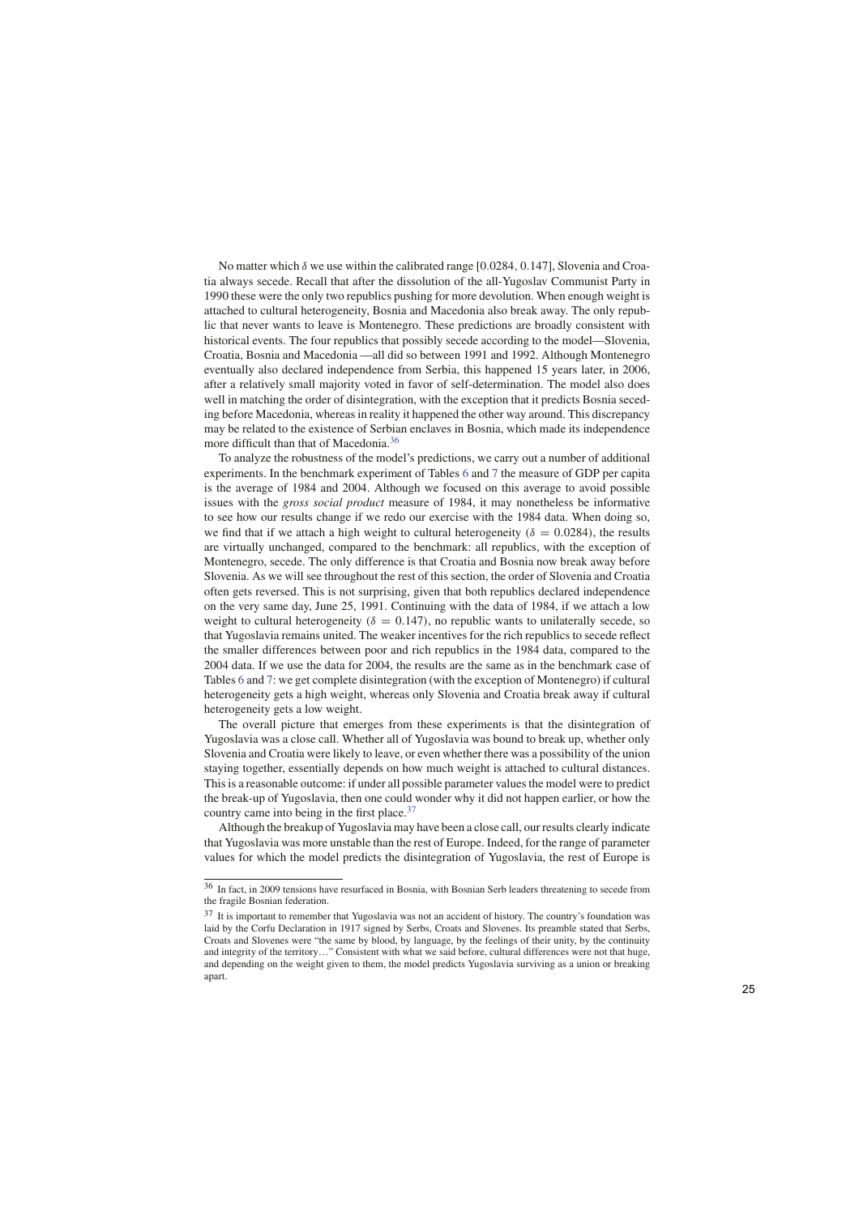No matter which  $\delta$  we use within the calibrated range [0.0284, 0.147], Slovenia and Croatia always secede. Recall that after the dissolution of the all-Yugoslav Communist Party in 1990 these were the only two republics pushing for more devolution. When enough weight is attached to cultural heterogeneity, Bosnia and Macedonia also break away. The only republic that never wants to leave is Montenegro. These predictions are broadly consistent with historical events. The four republics that possibly secede according to the model—Slovenia, Croatia, Bosnia and Macedonia —all did so between 1991 and 1992. Although Montenegro eventually also declared independence from Serbia, this happened 15 years later, in 2006, after a relatively small majority voted in favor of self-determination. The model also does well in matching the order of disintegration, with the exception that it predicts Bosnia seceding before Macedonia, whereas in reality it happened the other way around. This discrepancy may be related to the existence of Serbian enclaves in Bosnia, which made its independence more difficult than that of Macedonia.<sup>36</sup>

To analyze the robustness of the model's predictions, we carry out a number of additional experiments. In the benchmark experiment of Tables 6 and 7 the measure of GDP per capita is the average of 1984 and 2004. Although we focused on this average to avoid possible issues with the *gross social product* measure of 1984, it may nonetheless be informative to see how our results change if we redo our exercise with the 1984 data. When doing so, we find that if we attach a high weight to cultural heterogeneity ( $\delta = 0.0284$ ), the results are virtually unchanged, compared to the benchmark: all republics, with the exception of Montenegro, secede. The only difference is that Croatia and Bosnia now break away before Slovenia. As we will see throughout the rest of this section, the order of Slovenia and Croatia often gets reversed. This is not surprising, given that both republics declared independence on the very same day, June 25, 1991. Continuing with the data of 1984, if we attach a low weight to cultural heterogeneity ( $\delta = 0.147$ ), no republic wants to unilaterally secede, so that Yugoslavia remains united. The weaker incentives for the rich republics to secede reflect the smaller differences between poor and rich republics in the 1984 data, compared to the 2004 data. If we use the data for 2004, the results are the same as in the benchmark case of Tables 6 and 7: we get complete disintegration (with the exception of Montenegro) if cultural heterogeneity gets a high weight, whereas only Slovenia and Croatia break away if cultural heterogeneity gets a low weight.

The overall picture that emerges from these experiments is that the disintegration of Yugoslavia was a close call. Whether all of Yugoslavia was bound to break up, whether only Slovenia and Croatia were likely to leave, or even whether there was a possibility of the union staying together, essentially depends on how much weight is attached to cultural distances. This is a reasonable outcome: if under all possible parameter values the model were to predict the break-up of Yugoslavia, then one could wonder why it did not happen earlier, or how the country came into being in the first place. $37$ 

Although the breakup of Yugoslavia may have been a close call, our results clearly indicate that Yugoslavia was more unstable than the rest of Europe. Indeed, for the range of parameter values for which the model predicts the disintegration of Yugoslavia, the rest of Europe is

<sup>36</sup> In fact, in 2009 tensions have resurfaced in Bosnia, with Bosnian Serb leaders threatening to secede from the fragile Bosnian federation.

<sup>&</sup>lt;sup>37</sup> It is important to remember that Yugoslavia was not an accident of history. The country's foundation was laid by the Corfu Declaration in 1917 signed by Serbs, Croats and Slovenes. Its preamble stated that Serbs, Croats and Slovenes were "the same by blood, by language, by the feelings of their unity, by the continuity and integrity of the territory…" Consistent with what we said before, cultural differences were not that huge, and depending on the weight given to them, the model predicts Yugoslavia surviving as a union or breaking apart.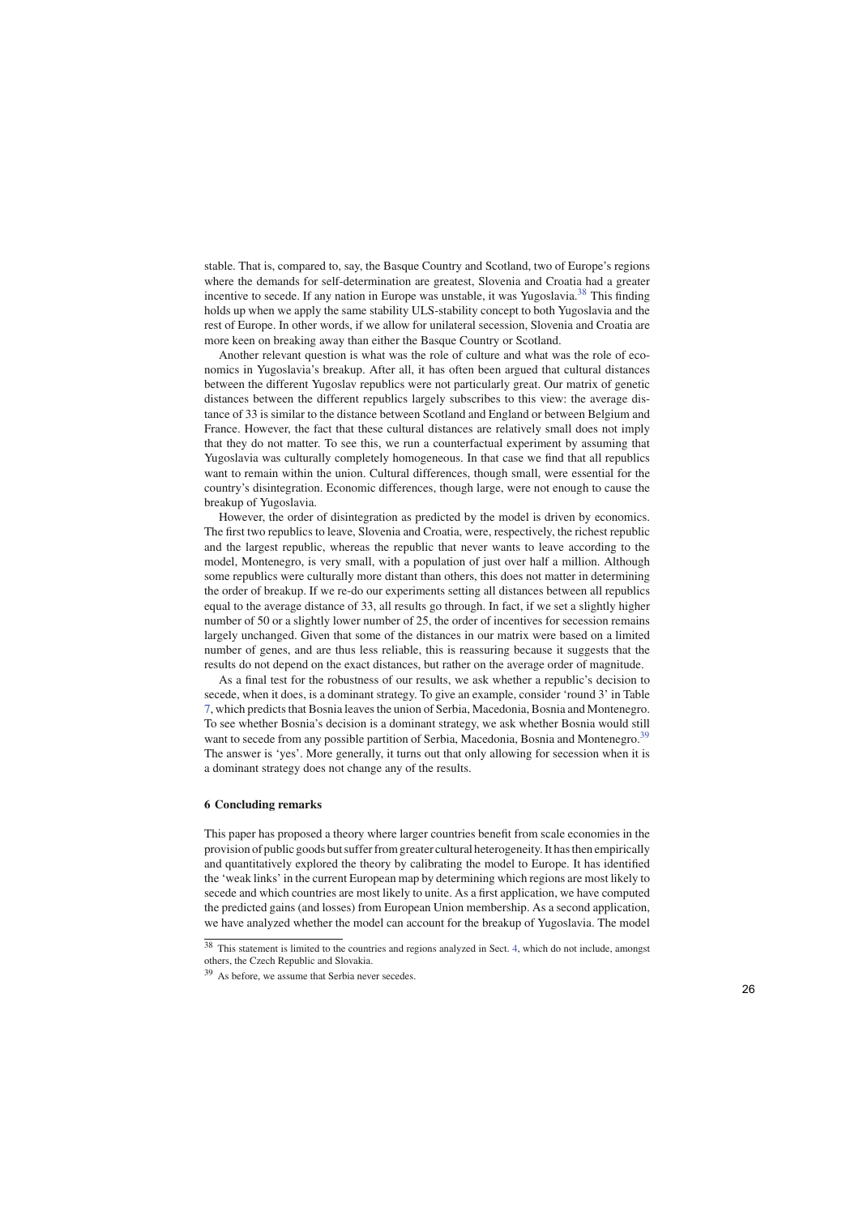stable. That is, compared to, say, the Basque Country and Scotland, two of Europe's regions where the demands for self-determination are greatest, Slovenia and Croatia had a greater incentive to secede. If any nation in Europe was unstable, it was Yugoslavia.<sup>38</sup> This finding holds up when we apply the same stability ULS-stability concept to both Yugoslavia and the rest of Europe. In other words, if we allow for unilateral secession, Slovenia and Croatia are more keen on breaking away than either the Basque Country or Scotland.

Another relevant question is what was the role of culture and what was the role of economics in Yugoslavia's breakup. After all, it has often been argued that cultural distances between the different Yugoslav republics were not particularly great. Our matrix of genetic distances between the different republics largely subscribes to this view: the average distance of 33 is similar to the distance between Scotland and England or between Belgium and France. However, the fact that these cultural distances are relatively small does not imply that they do not matter. To see this, we run a counterfactual experiment by assuming that Yugoslavia was culturally completely homogeneous. In that case we find that all republics want to remain within the union. Cultural differences, though small, were essential for the country's disintegration. Economic differences, though large, were not enough to cause the breakup of Yugoslavia.

However, the order of disintegration as predicted by the model is driven by economics. The first two republics to leave, Slovenia and Croatia, were, respectively, the richest republic and the largest republic, whereas the republic that never wants to leave according to the model, Montenegro, is very small, with a population of just over half a million. Although some republics were culturally more distant than others, this does not matter in determining the order of breakup. If we re-do our experiments setting all distances between all republics equal to the average distance of 33, all results go through. In fact, if we set a slightly higher number of 50 or a slightly lower number of 25, the order of incentives for secession remains largely unchanged. Given that some of the distances in our matrix were based on a limited number of genes, and are thus less reliable, this is reassuring because it suggests that the results do not depend on the exact distances, but rather on the average order of magnitude.

As a final test for the robustness of our results, we ask whether a republic's decision to secede, when it does, is a dominant strategy. To give an example, consider 'round 3' in Table 7, which predicts that Bosnia leaves the union of Serbia, Macedonia, Bosnia and Montenegro. To see whether Bosnia's decision is a dominant strategy, we ask whether Bosnia would still want to secede from any possible partition of Serbia, Macedonia, Bosnia and Montenegro.<sup>39</sup> The answer is 'yes'. More generally, it turns out that only allowing for secession when it is a dominant strategy does not change any of the results.

### **6 Concluding remarks**

This paper has proposed a theory where larger countries benefit from scale economies in the provision of public goods but suffer from greater cultural heterogeneity. It has then empirically and quantitatively explored the theory by calibrating the model to Europe. It has identified the 'weak links' in the current European map by determining which regions are most likely to secede and which countries are most likely to unite. As a first application, we have computed the predicted gains (and losses) from European Union membership. As a second application, we have analyzed whether the model can account for the breakup of Yugoslavia. The model

<sup>&</sup>lt;sup>38</sup> This statement is limited to the countries and regions analyzed in Sect. 4, which do not include, amongst others, the Czech Republic and Slovakia.

<sup>39</sup> As before, we assume that Serbia never secedes.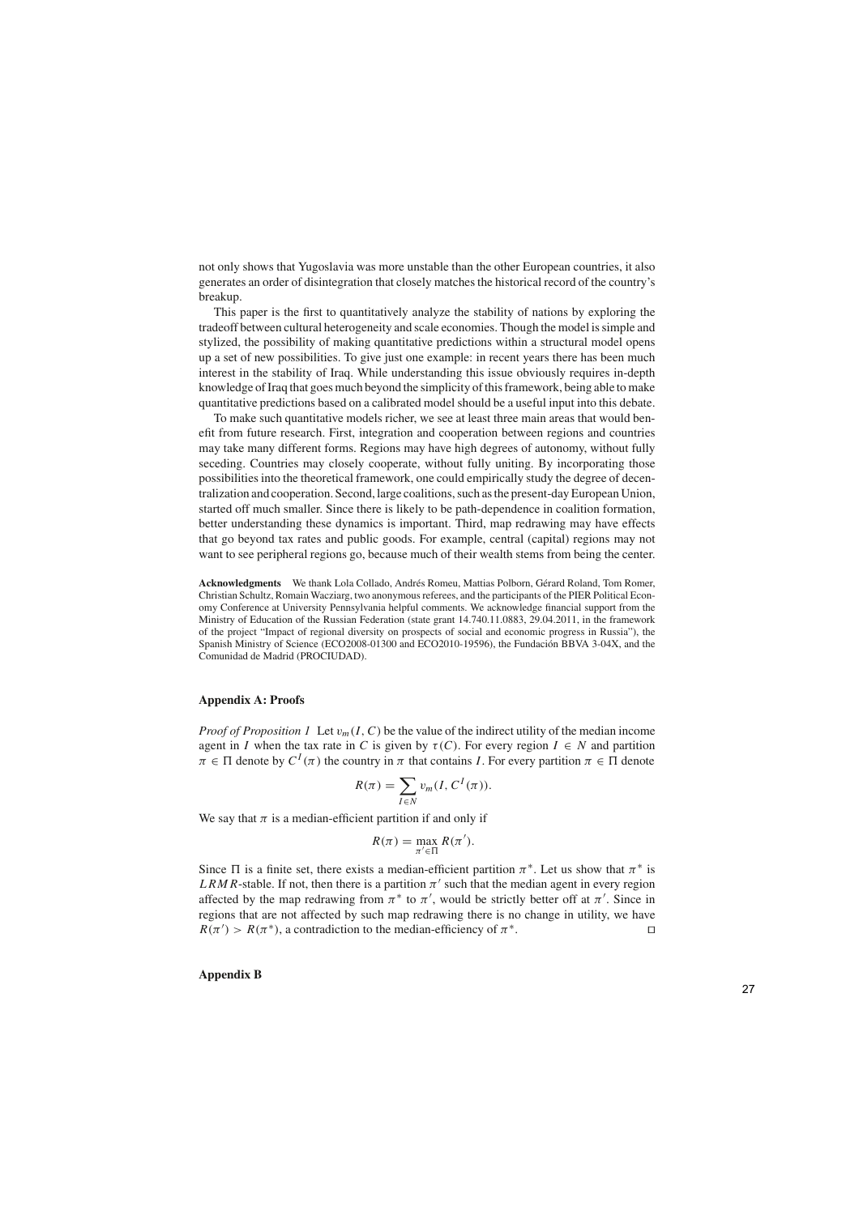not only shows that Yugoslavia was more unstable than the other European countries, it also generates an order of disintegration that closely matches the historical record of the country's breakup.

This paper is the first to quantitatively analyze the stability of nations by exploring the tradeoff between cultural heterogeneity and scale economies. Though the model is simple and stylized, the possibility of making quantitative predictions within a structural model opens up a set of new possibilities. To give just one example: in recent years there has been much interest in the stability of Iraq. While understanding this issue obviously requires in-depth knowledge of Iraq that goes much beyond the simplicity of this framework, being able to make quantitative predictions based on a calibrated model should be a useful input into this debate.

To make such quantitative models richer, we see at least three main areas that would benefit from future research. First, integration and cooperation between regions and countries may take many different forms. Regions may have high degrees of autonomy, without fully seceding. Countries may closely cooperate, without fully uniting. By incorporating those possibilities into the theoretical framework, one could empirically study the degree of decentralization and cooperation. Second, large coalitions, such as the present-day European Union, started off much smaller. Since there is likely to be path-dependence in coalition formation, better understanding these dynamics is important. Third, map redrawing may have effects that go beyond tax rates and public goods. For example, central (capital) regions may not want to see peripheral regions go, because much of their wealth stems from being the center.

**Acknowledgments** We thank Lola Collado, Andrés Romeu, Mattias Polborn, Gérard Roland, Tom Romer, Christian Schultz, Romain Wacziarg, two anonymous referees, and the participants of the PIER Political Economy Conference at University Pennsylvania helpful comments. We acknowledge financial support from the Ministry of Education of the Russian Federation (state grant 14.740.11.0883, 29.04.2011, in the framework of the project "Impact of regional diversity on prospects of social and economic progress in Russia"), the Spanish Ministry of Science (ECO2008-01300 and ECO2010-19596), the Fundación BBVA 3-04X, and the Comunidad de Madrid (PROCIUDAD).

### **Appendix A: Proofs**

*Proof of Proposition 1* Let  $v_m(I, C)$  be the value of the indirect utility of the median income agent in *I* when the tax rate in *C* is given by  $\tau(C)$ . For every region  $I \in N$  and partition  $\pi \in \Pi$  denote by  $C^I(\pi)$  the country in  $\pi$  that contains *I*. For every partition  $\pi \in \Pi$  denote

$$
R(\pi) = \sum_{I \in N} v_m(I, C^I(\pi)).
$$

We say that  $\pi$  is a median-efficient partition if and only if

$$
R(\pi) = \max_{\pi' \in \Pi} R(\pi').
$$

Since  $\Pi$  is a finite set, there exists a median-efficient partition  $\pi^*$ . Let us show that  $\pi^*$  is *LRMR*-stable. If not, then there is a partition  $\pi'$  such that the median agent in every region affected by the map redrawing from  $\pi^*$  to  $\pi'$ , would be strictly better off at  $\pi'$ . Since in regions that are not affected by such map redrawing there is no change in utility, we have  $R(\pi') > R(\pi^*)$ , a contradiction to the median-efficiency of  $\pi^*$ . ⊓⊔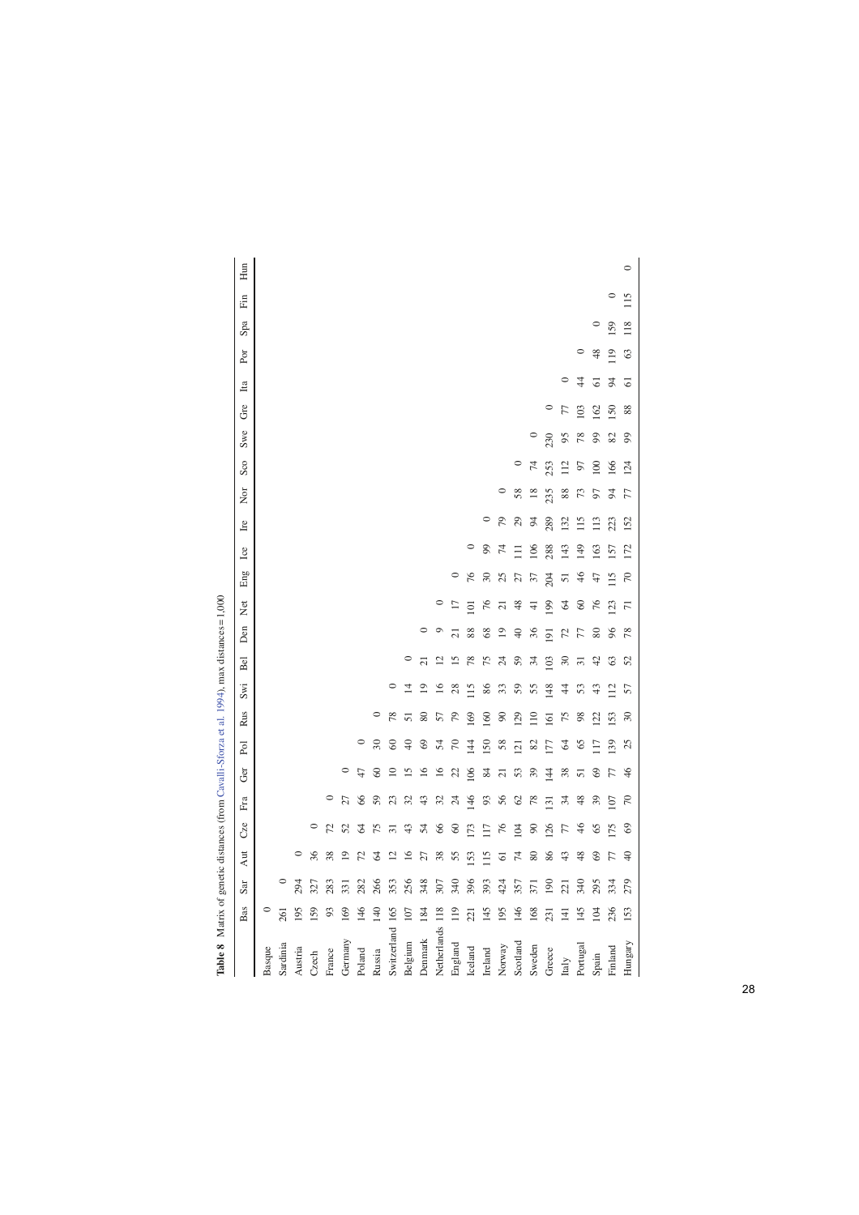| Table 8 Matrix of genetic distances (from Cavalli-Sforza et al. 1994), max distances = 1,000 |         |         |                |                |                 |                 |                 |                |                 |                |                |                 |                            |         |                |                 |          |         |         |    |         |            |                |
|----------------------------------------------------------------------------------------------|---------|---------|----------------|----------------|-----------------|-----------------|-----------------|----------------|-----------------|----------------|----------------|-----------------|----------------------------|---------|----------------|-----------------|----------|---------|---------|----|---------|------------|----------------|
|                                                                                              | Bas     | Sar     | <b>Aut</b>     | Cze            | Fra             | Ğ               | Pol             | Rus            | Swi             | Bel            | Den            | Net             | Eng                        | Lce     | Γe             | χò              | $S_{CO}$ | Swe     | Gre     | Еã | Por     | Ε'n<br>Spa | $\lim$         |
| Basque                                                                                       | $\circ$ |         |                |                |                 |                 |                 |                |                 |                |                |                 |                            |         |                |                 |          |         |         |    |         |            |                |
| Sardinia                                                                                     | 261     | $\circ$ |                |                |                 |                 |                 |                |                 |                |                |                 |                            |         |                |                 |          |         |         |    |         |            |                |
| Austria                                                                                      | 195     | 294     |                |                |                 |                 |                 |                |                 |                |                |                 |                            |         |                |                 |          |         |         |    |         |            |                |
| Czech                                                                                        | 159     | 327     | 36             | $\circ$        |                 |                 |                 |                |                 |                |                |                 |                            |         |                |                 |          |         |         |    |         |            |                |
| France                                                                                       | 93      | 283     | 38             | 72             | $\circ$         |                 |                 |                |                 |                |                |                 |                            |         |                |                 |          |         |         |    |         |            |                |
| Germany                                                                                      | 169     | 331     | $\overline{0}$ | 52             | 27              |                 |                 |                |                 |                |                |                 |                            |         |                |                 |          |         |         |    |         |            |                |
| Poland                                                                                       | 146     | 282     | 72             | ₹              | 8               | 47              | ○               |                |                 |                |                |                 |                            |         |                |                 |          |         |         |    |         |            |                |
| Russia                                                                                       | 140     | 266     | 3              | 75             | 59              | 8               | $\approx$       | $\circ$        |                 |                |                |                 |                            |         |                |                 |          |         |         |    |         |            |                |
| Switzerland                                                                                  | 165     | 353     | $\overline{c}$ | $\overline{5}$ | $\mathfrak{L}$  | $\Xi$           | 8               | $^{78}$        | $\circ$         |                |                |                 |                            |         |                |                 |          |         |         |    |         |            |                |
| Belgium                                                                                      | 107     | 256     | $\geq$         | 43             | 32              | $\overline{15}$ | ទ               | 51             | 4               | $\circ$        |                |                 |                            |         |                |                 |          |         |         |    |         |            |                |
| Denmark                                                                                      | 184     | 348     | 27             | 54             | \$              | $\tilde{=}$     | 3               | 80             | $\overline{0}$  | ಸ              |                |                 |                            |         |                |                 |          |         |         |    |         |            |                |
| Netherlands                                                                                  | 118     | 307     | 38             | 8              | 32              | $\overline{16}$ | 24              | 57             | $\overline{16}$ | $\overline{c}$ | $\circ$        | $\circ$         |                            |         |                |                 |          |         |         |    |         |            |                |
| England                                                                                      | 119     | 340     | 55             | 8              | 24              | $\mathfrak{L}$  | 5               | 79             | 28              | 15             | $\overline{a}$ | $\overline{17}$ | $\circ$                    |         |                |                 |          |         |         |    |         |            |                |
| Iceland                                                                                      | 221     | 396     | 153            | 173            | $\frac{46}{5}$  | $\geq$          | $\overline{4}$  | 169            | $\frac{21}{10}$ | $78$           | 88             | $\Xi$           | 97                         | $\circ$ |                |                 |          |         |         |    |         |            |                |
| Ireland                                                                                      | 145     | 393     | 115            | 117            | 93              | 24              | 50              | 160            | 86              | 75             | 8              | 76              | $\boldsymbol{\mathcal{S}}$ | 99      | $\circ$        |                 |          |         |         |    |         |            |                |
| Norway                                                                                       | 195     | 424     | 5              | 76             | 56              | $\overline{a}$  | 58              | $\infty$       | 33              | 24             | $\overline{0}$ | $\overline{z}$  | 25                         | 74      | 79             | $\circ$         |          |         |         |    |         |            |                |
| Scotland                                                                                     | 146     | 357     | 74             | 104            | 62              | 53              | $\overline{c}$  | <b>29</b>      | 39              | 59             | ¥              | 48              | 27                         | $\Xi$   | 29             | 58              | $\circ$  |         |         |    |         |            |                |
| Sweden                                                                                       | 168     | 371     | 80             | 8              | $78$            | 39              | $\infty$        | $\frac{1}{10}$ | 55              | 34             | 36             | $\frac{1}{4}$   | 57                         | 106     | $\overline{6}$ | $\overline{18}$ | 74       | $\circ$ |         |    |         |            |                |
| Greece                                                                                       | 231     | 90      | 86             | 126            | $\overline{51}$ | $\overline{4}$  | E               | 161            | 148             | 103            | $\overline{5}$ | 199             | 204                        | 288     | 289            | 235             | 253      | 230     | $\circ$ |    |         |            |                |
| Italy                                                                                        | 141     | 221     | 43             | 77             | 34              | 38              | Z               | 75             | \$              | $30\,$         | 72             | $\mathcal{L}$   | 51                         | 143     | 132            | 88              | 112      | 95      | 77      | ○  |         |            |                |
| Portugal                                                                                     | 145     | 340     | 48             | $\frac{8}{3}$  | $\frac{8}{3}$   | 5               | S               | $^{8}$         | S               | ಸ              | $\overline{7}$ | $\infty$        | 46                         | 149     | $\frac{5}{11}$ | 73              | 50       | 78      | 103     | 4  | $\circ$ |            |                |
| Spain                                                                                        | 104     | 295     | 69             | 65             | 39              | 69              | $\overline{11}$ | 122            | ₩               | $\overline{4}$ | 80             | 76              | 47                         | 163     | 113            | 5               | 100      | 99      | 162     | 5  | 48      | $\circ$    |                |
| Finland                                                                                      | 236     | 334     | 77             | 175            | 107             | 77              | $\overline{39}$ | 153            | $\overline{12}$ | 63             | 96             | 123             | 115                        | 157     | 223            | 24              | 166      | 82      | 150     | 54 | 119     | 159        | $\circ$        |
| Hungary                                                                                      | 153     | 279     | $\overline{4}$ | 3              | $\approx$       | 46              | 25              | $\approx$      | 57              | 52             | 78             | $\overline{r}$  | 5                          | 172     | 152            | 77              | 124      | 99      | 88      | 5  | S       | 118        | $\circ$<br>115 |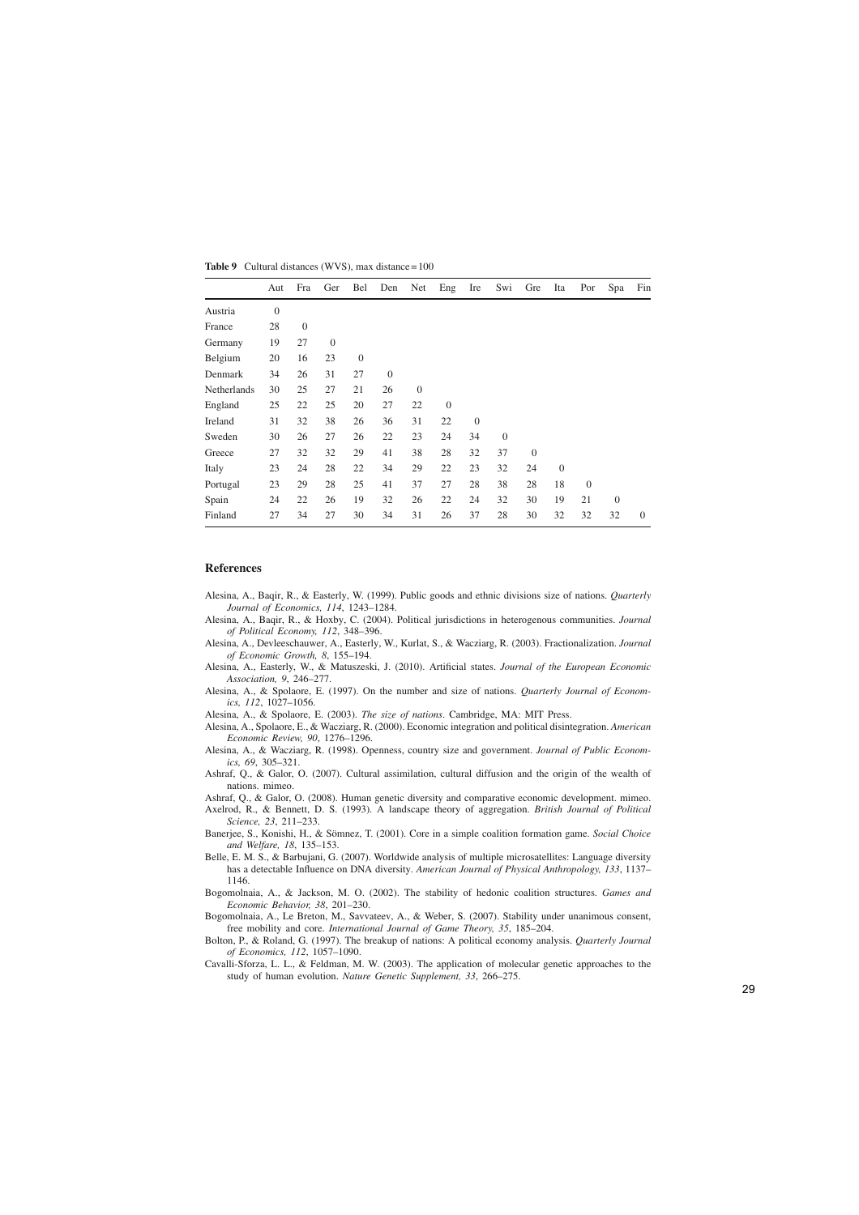**Table 9** Cultural distances (WVS), max distance = 100

|                    | Aut      | Fra          | Ger          | Bel          | Den            | Net          | Eng          | Ire          | Swi          | Gre          | Ita          | Por          | Spa          | Fin          |
|--------------------|----------|--------------|--------------|--------------|----------------|--------------|--------------|--------------|--------------|--------------|--------------|--------------|--------------|--------------|
| Austria            | $\theta$ |              |              |              |                |              |              |              |              |              |              |              |              |              |
| France             | 28       | $\mathbf{0}$ |              |              |                |              |              |              |              |              |              |              |              |              |
| Germany            | 19       | 27           | $\mathbf{0}$ |              |                |              |              |              |              |              |              |              |              |              |
| Belgium            | 20       | 16           | 23           | $\mathbf{0}$ |                |              |              |              |              |              |              |              |              |              |
| Denmark            | 34       | 26           | 31           | 27           | $\overline{0}$ |              |              |              |              |              |              |              |              |              |
| <b>Netherlands</b> | 30       | 25           | 27           | 21           | 26             | $\mathbf{0}$ |              |              |              |              |              |              |              |              |
| England            | 25       | 22           | 25           | 20           | 27             | 22           | $\mathbf{0}$ |              |              |              |              |              |              |              |
| Ireland            | 31       | 32           | 38           | 26           | 36             | 31           | 22           | $\mathbf{0}$ |              |              |              |              |              |              |
| Sweden             | 30       | 26           | 27           | 26           | 22             | 23           | 24           | 34           | $\mathbf{0}$ |              |              |              |              |              |
| Greece             | 27       | 32           | 32           | 29           | 41             | 38           | 28           | 32           | 37           | $\mathbf{0}$ |              |              |              |              |
| Italy              | 23       | 24           | 28           | 22           | 34             | 29           | 22           | 23           | 32           | 24           | $\mathbf{0}$ |              |              |              |
| Portugal           | 23       | 29           | 28           | 25           | 41             | 37           | 27           | 28           | 38           | 28           | 18           | $\mathbf{0}$ |              |              |
| Spain              | 24       | 22           | 26           | 19           | 32             | 26           | 22           | 24           | 32           | 30           | 19           | 21           | $\mathbf{0}$ |              |
| Finland            | 27       | 34           | 27           | 30           | 34             | 31           | 26           | 37           | 28           | 30           | 32           | 32           | 32           | $\mathbf{0}$ |

### **References**

- Alesina, A., Baqir, R., & Easterly, W. (1999). Public goods and ethnic divisions size of nations. *Quarterly Journal of Economics, 114*, 1243–1284.
- Alesina, A., Baqir, R., & Hoxby, C. (2004). Political jurisdictions in heterogenous communities. *Journal of Political Economy, 112*, 348–396.
- Alesina, A., Devleeschauwer, A., Easterly, W., Kurlat, S., & Wacziarg, R. (2003). Fractionalization. *Journal of Economic Growth, 8*, 155–194.
- Alesina, A., Easterly, W., & Matuszeski, J. (2010). Artificial states. *Journal of the European Economic Association, 9*, 246–277.
- Alesina, A., & Spolaore, E. (1997). On the number and size of nations. *Quarterly Journal of Economics, 112*, 1027–1056.
- Alesina, A., & Spolaore, E. (2003). *The size of nations*. Cambridge, MA: MIT Press.
- Alesina, A., Spolaore, E., & Wacziarg, R. (2000). Economic integration and political disintegration. *American Economic Review, 90*, 1276–1296.
- Alesina, A., & Wacziarg, R. (1998). Openness, country size and government. *Journal of Public Economics, 69*, 305–321.
- Ashraf, Q., & Galor, O. (2007). Cultural assimilation, cultural diffusion and the origin of the wealth of nations. mimeo.
- Ashraf, Q., & Galor, O. (2008). Human genetic diversity and comparative economic development. mimeo.
- Axelrod, R., & Bennett, D. S. (1993). A landscape theory of aggregation. *British Journal of Political Science, 23*, 211–233.
- Banerjee, S., Konishi, H., & Sömnez, T. (2001). Core in a simple coalition formation game. *Social Choice and Welfare, 18*, 135–153.
- Belle, E. M. S., & Barbujani, G. (2007). Worldwide analysis of multiple microsatellites: Language diversity has a detectable Influence on DNA diversity. *American Journal of Physical Anthropology, 133*, 1137– 1146.
- Bogomolnaia, A., & Jackson, M. O. (2002). The stability of hedonic coalition structures. *Games and Economic Behavior, 38*, 201–230.
- Bogomolnaia, A., Le Breton, M., Savvateev, A., & Weber, S. (2007). Stability under unanimous consent, free mobility and core. *International Journal of Game Theory, 35*, 185–204.
- Bolton, P., & Roland, G. (1997). The breakup of nations: A political economy analysis. *Quarterly Journal of Economics, 112*, 1057–1090.
- Cavalli-Sforza, L. L., & Feldman, M. W. (2003). The application of molecular genetic approaches to the study of human evolution. *Nature Genetic Supplement, 33*, 266–275.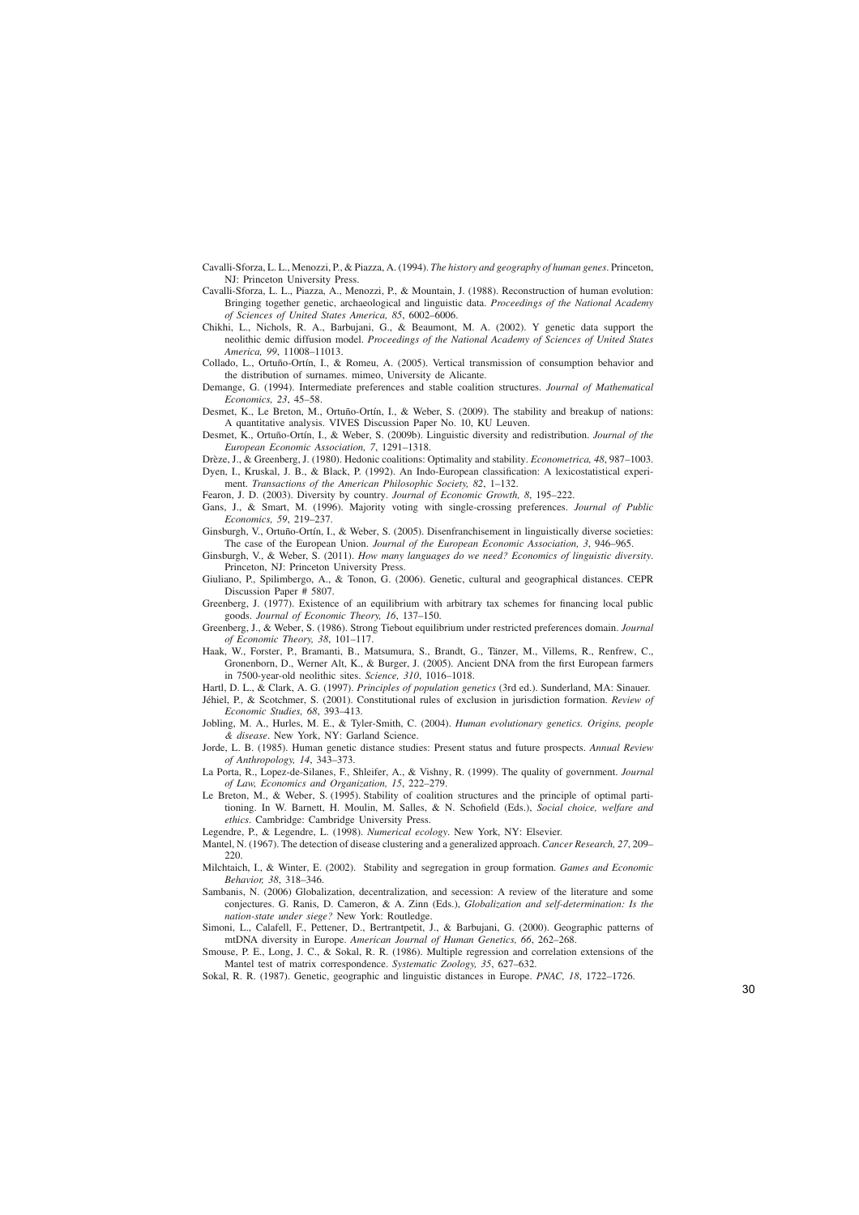- Cavalli-Sforza, L. L., Menozzi, P., & Piazza, A. (1994). *The history and geography of human genes*. Princeton, NJ: Princeton University Press.
- Cavalli-Sforza, L. L., Piazza, A., Menozzi, P., & Mountain, J. (1988). Reconstruction of human evolution: Bringing together genetic, archaeological and linguistic data. *Proceedings of the National Academy of Sciences of United States America, 85*, 6002–6006.
- Chikhi, L., Nichols, R. A., Barbujani, G., & Beaumont, M. A. (2002). Y genetic data support the neolithic demic diffusion model. *Proceedings of the National Academy of Sciences of United States America, 99*, 11008–11013.
- Collado, L., Ortuño-Ortín, I., & Romeu, A. (2005). Vertical transmission of consumption behavior and the distribution of surnames. mimeo, University de Alicante.
- Demange, G. (1994). Intermediate preferences and stable coalition structures. *Journal of Mathematical Economics, 23*, 45–58.
- Desmet, K., Le Breton, M., Ortuño-Ortín, I., & Weber, S. (2009). The stability and breakup of nations: A quantitative analysis. VIVES Discussion Paper No. 10, KU Leuven.
- Desmet, K., Ortuño-Ortín, I., & Weber, S. (2009b). Linguistic diversity and redistribution. *Journal of the European Economic Association, 7*, 1291–1318.
- Drèze, J., & Greenberg, J. (1980). Hedonic coalitions: Optimality and stability. *Econometrica, 48*, 987–1003.
- Dyen, I., Kruskal, J. B., & Black, P. (1992). An Indo-European classification: A lexicostatistical experiment. *Transactions of the American Philosophic Society, 82*, 1–132.
- Fearon, J. D. (2003). Diversity by country. *Journal of Economic Growth, 8*, 195–222.
- Gans, J., & Smart, M. (1996). Majority voting with single-crossing preferences. *Journal of Public Economics, 59*, 219–237.
- Ginsburgh, V., Ortuño-Ortín, I., & Weber, S. (2005). Disenfranchisement in linguistically diverse societies: The case of the European Union. *Journal of the European Economic Association, 3*, 946–965.
- Ginsburgh, V., & Weber, S. (2011). *How many languages do we need? Economics of linguistic diversity*. Princeton, NJ: Princeton University Press.
- Giuliano, P., Spilimbergo, A., & Tonon, G. (2006). Genetic, cultural and geographical distances. CEPR Discussion Paper # 5807.
- Greenberg, J. (1977). Existence of an equilibrium with arbitrary tax schemes for financing local public goods. *Journal of Economic Theory, 16*, 137–150.
- Greenberg, J., & Weber, S. (1986). Strong Tiebout equilibrium under restricted preferences domain. *Journal of Economic Theory, 38*, 101–117.
- Haak, W., Forster, P., Bramanti, B., Matsumura, S., Brandt, G., Tänzer, M., Villems, R., Renfrew, C., Gronenborn, D., Werner Alt, K., & Burger, J. (2005). Ancient DNA from the first European farmers in 7500-year-old neolithic sites. *Science, 310*, 1016–1018.
- Hartl, D. L., & Clark, A. G. (1997). *Principles of population genetics* (3rd ed.). Sunderland, MA: Sinauer.
- Jéhiel, P., & Scotchmer, S. (2001). Constitutional rules of exclusion in jurisdiction formation. *Review of Economic Studies, 68*, 393–413.
- Jobling, M. A., Hurles, M. E., & Tyler-Smith, C. (2004). *Human evolutionary genetics. Origins, people & disease*. New York, NY: Garland Science.
- Jorde, L. B. (1985). Human genetic distance studies: Present status and future prospects. *Annual Review of Anthropology, 14*, 343–373.
- La Porta, R., Lopez-de-Silanes, F., Shleifer, A., & Vishny, R. (1999). The quality of government. *Journal of Law, Economics and Organization, 15*, 222–279.
- Le Breton, M., & Weber, S. (1995). Stability of coalition structures and the principle of optimal partitioning. In W. Barnett, H. Moulin, M. Salles, & N. Schofield (Eds.), *Social choice, welfare and ethics*. Cambridge: Cambridge University Press.
- Legendre, P., & Legendre, L. (1998). *Numerical ecology*. New York, NY: Elsevier.
- Mantel, N. (1967). The detection of disease clustering and a generalized approach. *Cancer Research, 27*, 209– 220.
- Milchtaich, I., & Winter, E. (2002). Stability and segregation in group formation. *Games and Economic Behavior, 38*, 318–346.
- Sambanis, N. (2006) Globalization, decentralization, and secession: A review of the literature and some conjectures. G. Ranis, D. Cameron, & A. Zinn (Eds.), *Globalization and self-determination: Is the nation-state under siege?* New York: Routledge.
- Simoni, L., Calafell, F., Pettener, D., Bertrantpetit, J., & Barbujani, G. (2000). Geographic patterns of mtDNA diversity in Europe. *American Journal of Human Genetics, 66*, 262–268.
- Smouse, P. E., Long, J. C., & Sokal, R. R. (1986). Multiple regression and correlation extensions of the Mantel test of matrix correspondence. *Systematic Zoology, 35*, 627–632.

Sokal, R. R. (1987). Genetic, geographic and linguistic distances in Europe. *PNAC, 18*, 1722–1726.